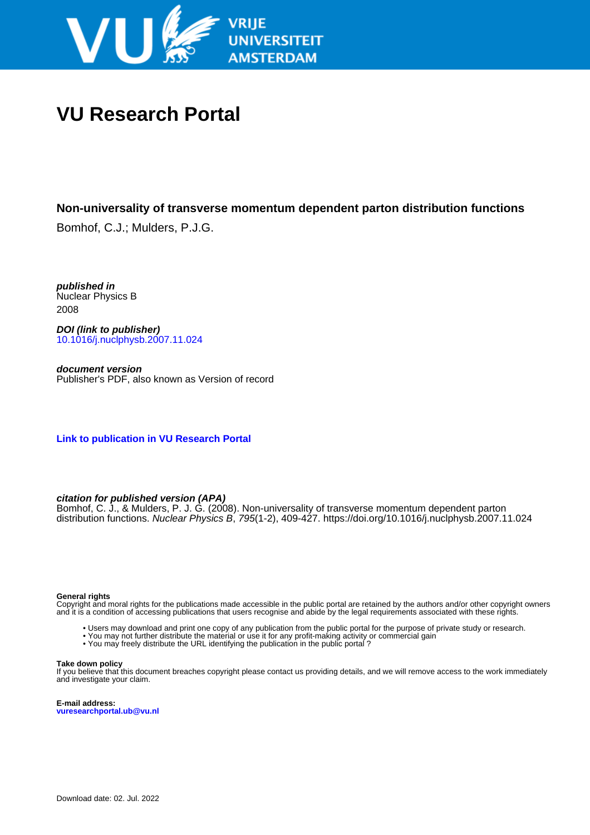

# **VU Research Portal**

## **Non-universality of transverse momentum dependent parton distribution functions**

Bomhof, C.J.; Mulders, P.J.G.

**published in** Nuclear Physics B 2008

**DOI (link to publisher)** [10.1016/j.nuclphysb.2007.11.024](https://doi.org/10.1016/j.nuclphysb.2007.11.024)

**document version** Publisher's PDF, also known as Version of record

**[Link to publication in VU Research Portal](https://research.vu.nl/en/publications/444d9b35-60c6-44a1-a8f0-7ccdf1cf5132)**

### **citation for published version (APA)**

Bomhof, C. J., & Mulders, P. J. G. (2008). Non-universality of transverse momentum dependent parton distribution functions. Nuclear Physics B, 795(1-2), 409-427. <https://doi.org/10.1016/j.nuclphysb.2007.11.024>

#### **General rights**

Copyright and moral rights for the publications made accessible in the public portal are retained by the authors and/or other copyright owners and it is a condition of accessing publications that users recognise and abide by the legal requirements associated with these rights.

- Users may download and print one copy of any publication from the public portal for the purpose of private study or research.
- You may not further distribute the material or use it for any profit-making activity or commercial gain
- You may freely distribute the URL identifying the publication in the public portal ?

#### **Take down policy**

If you believe that this document breaches copyright please contact us providing details, and we will remove access to the work immediately and investigate your claim.

**E-mail address: vuresearchportal.ub@vu.nl**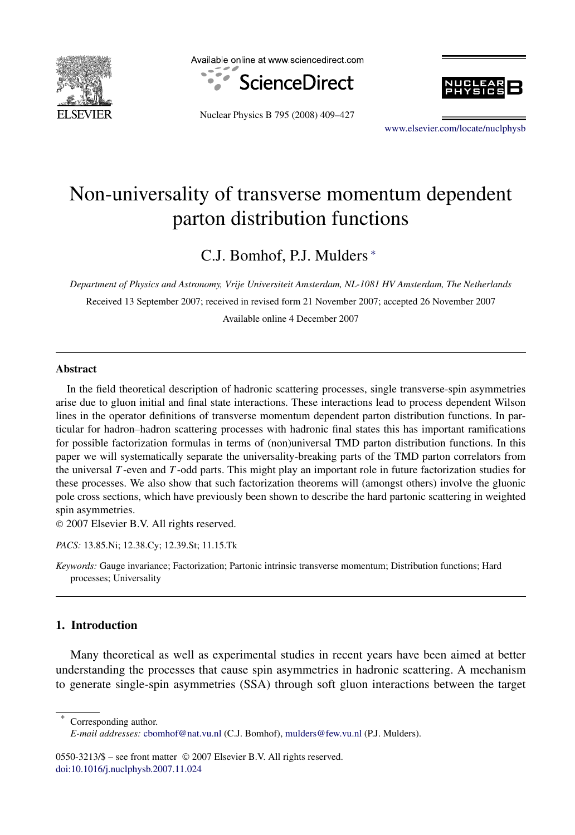

Available online at www.sciencedirect.com







[www.elsevier.com/locate/nuclphysb](http://www.elsevier.com/locate/nuclphysb)

## Non-universality of transverse momentum dependent parton distribution functions

C.J. Bomhof, P.J. Mulders <sup>∗</sup>

*Department of Physics and Astronomy, Vrije Universiteit Amsterdam, NL-1081 HV Amsterdam, The Netherlands*

Received 13 September 2007; received in revised form 21 November 2007; accepted 26 November 2007 Available online 4 December 2007

#### **Abstract**

In the field theoretical description of hadronic scattering processes, single transverse-spin asymmetries arise due to gluon initial and final state interactions. These interactions lead to process dependent Wilson lines in the operator definitions of transverse momentum dependent parton distribution functions. In particular for hadron–hadron scattering processes with hadronic final states this has important ramifications for possible factorization formulas in terms of (non)universal TMD parton distribution functions. In this paper we will systematically separate the universality-breaking parts of the TMD parton correlators from the universal *T* -even and *T* -odd parts. This might play an important role in future factorization studies for these processes. We also show that such factorization theorems will (amongst others) involve the gluonic pole cross sections, which have previously been shown to describe the hard partonic scattering in weighted spin asymmetries.

© 2007 Elsevier B.V. All rights reserved.

*PACS:* 13.85.Ni; 12.38.Cy; 12.39.St; 11.15.Tk

*Keywords:* Gauge invariance; Factorization; Partonic intrinsic transverse momentum; Distribution functions; Hard processes; Universality

#### **1. Introduction**

Many theoretical as well as experimental studies in recent years have been aimed at better understanding the processes that cause spin asymmetries in hadronic scattering. A mechanism to generate single-spin asymmetries (SSA) through soft gluon interactions between the target

Corresponding author.

0550-3213/\$ – see front matter © 2007 Elsevier B.V. All rights reserved. [doi:10.1016/j.nuclphysb.2007.11.024](http://dx.doi.org/10.1016/j.nuclphysb.2007.11.024)

*E-mail addresses:* [cbomhof@nat.vu.nl](mailto:cbomhof@nat.vu.nl) (C.J. Bomhof), [mulders@few.vu.nl](mailto:mulders@few.vu.nl) (P.J. Mulders).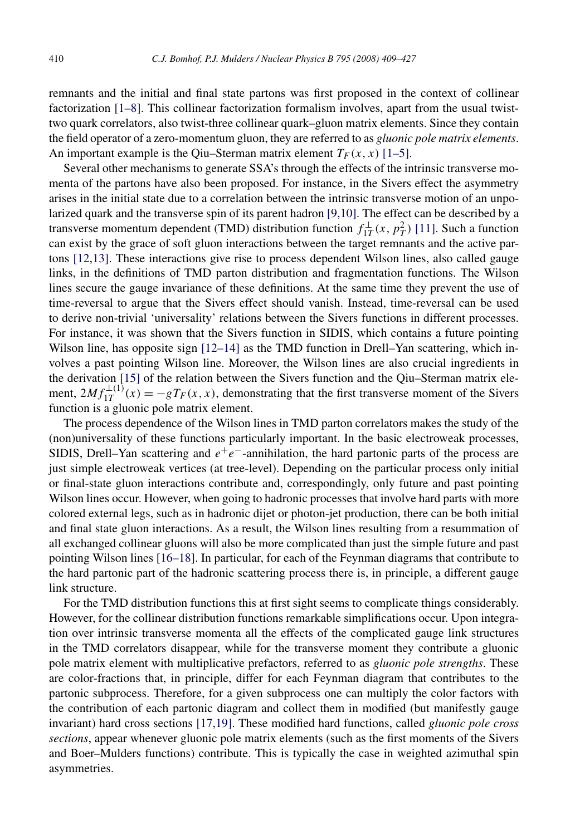remnants and the initial and final state partons was first proposed in the context of collinear factorization [\[1–8\].](#page-19-0) This collinear factorization formalism involves, apart from the usual twisttwo quark correlators, also twist-three collinear quark–gluon matrix elements. Since they contain the field operator of a zero-momentum gluon, they are referred to as *gluonic pole matrix elements*. An important example is the Qiu–Sterman matrix element  $T_F(x, x)$  [\[1–5\].](#page-19-0)

Several other mechanisms to generate SSA's through the effects of the intrinsic transverse momenta of the partons have also been proposed. For instance, in the Sivers effect the asymmetry arises in the initial state due to a correlation between the intrinsic transverse motion of an unpolarized quark and the transverse spin of its parent hadron [\[9,10\].](#page-19-0) The effect can be described by a transverse momentum dependent (TMD) distribution function  $f_{1T}^{\perp}(x, p_T^2)$  [\[11\].](#page-19-0) Such a function can exist by the grace of soft gluon interactions between the target remnants and the active partons [\[12,13\].](#page-19-0) These interactions give rise to process dependent Wilson lines, also called gauge links, in the definitions of TMD parton distribution and fragmentation functions. The Wilson lines secure the gauge invariance of these definitions. At the same time they prevent the use of time-reversal to argue that the Sivers effect should vanish. Instead, time-reversal can be used to derive non-trivial 'universality' relations between the Sivers functions in different processes. For instance, it was shown that the Sivers function in SIDIS, which contains a future pointing Wilson line, has opposite sign  $[12–14]$  as the TMD function in Drell–Yan scattering, which involves a past pointing Wilson line. Moreover, the Wilson lines are also crucial ingredients in the derivation [\[15\]](#page-19-0) of the relation between the Sivers function and the Qiu–Sterman matrix element,  $2Mf_{1T}^{\perp(1)}(x) = -gT_F(x, x)$ , demonstrating that the first transverse moment of the Sivers function is a gluonic pole matrix element.

The process dependence of the Wilson lines in TMD parton correlators makes the study of the (non)universality of these functions particularly important. In the basic electroweak processes, SIDIS, Drell–Yan scattering and *e*+*e*−-annihilation, the hard partonic parts of the process are just simple electroweak vertices (at tree-level). Depending on the particular process only initial or final-state gluon interactions contribute and, correspondingly, only future and past pointing Wilson lines occur. However, when going to hadronic processes that involve hard parts with more colored external legs, such as in hadronic dijet or photon-jet production, there can be both initial and final state gluon interactions. As a result, the Wilson lines resulting from a resummation of all exchanged collinear gluons will also be more complicated than just the simple future and past pointing Wilson lines [\[16–18\].](#page-19-0) In particular, for each of the Feynman diagrams that contribute to the hard partonic part of the hadronic scattering process there is, in principle, a different gauge link structure.

For the TMD distribution functions this at first sight seems to complicate things considerably. However, for the collinear distribution functions remarkable simplifications occur. Upon integration over intrinsic transverse momenta all the effects of the complicated gauge link structures in the TMD correlators disappear, while for the transverse moment they contribute a gluonic pole matrix element with multiplicative prefactors, referred to as *gluonic pole strengths*. These are color-fractions that, in principle, differ for each Feynman diagram that contributes to the partonic subprocess. Therefore, for a given subprocess one can multiply the color factors with the contribution of each partonic diagram and collect them in modified (but manifestly gauge invariant) hard cross sections [\[17,19\].](#page-19-0) These modified hard functions, called *gluonic pole cross sections*, appear whenever gluonic pole matrix elements (such as the first moments of the Sivers and Boer–Mulders functions) contribute. This is typically the case in weighted azimuthal spin asymmetries.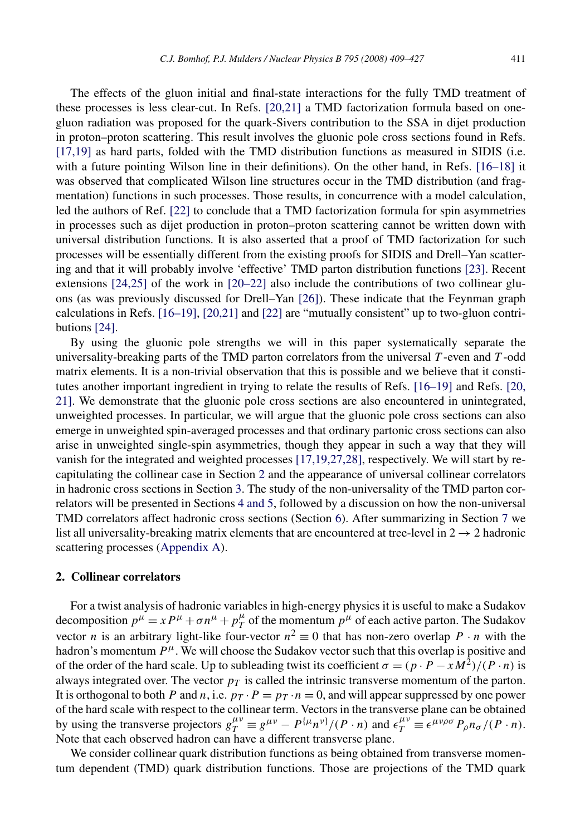The effects of the gluon initial and final-state interactions for the fully TMD treatment of these processes is less clear-cut. In Refs. [\[20,21\]](#page-19-0) a TMD factorization formula based on onegluon radiation was proposed for the quark-Sivers contribution to the SSA in dijet production in proton–proton scattering. This result involves the gluonic pole cross sections found in Refs. [\[17,19\]](#page-19-0) as hard parts, folded with the TMD distribution functions as measured in SIDIS (i.e. with a future pointing Wilson line in their definitions). On the other hand, in Refs. [\[16–18\]](#page-19-0) it was observed that complicated Wilson line structures occur in the TMD distribution (and fragmentation) functions in such processes. Those results, in concurrence with a model calculation, led the authors of Ref. [\[22\]](#page-19-0) to conclude that a TMD factorization formula for spin asymmetries in processes such as dijet production in proton–proton scattering cannot be written down with universal distribution functions. It is also asserted that a proof of TMD factorization for such processes will be essentially different from the existing proofs for SIDIS and Drell–Yan scattering and that it will probably involve 'effective' TMD parton distribution functions [\[23\].](#page-19-0) Recent extensions [\[24,25\]](#page-19-0) of the work in [\[20–22\]](#page-19-0) also include the contributions of two collinear gluons (as was previously discussed for Drell–Yan [\[26\]\)](#page-19-0). These indicate that the Feynman graph calculations in Refs. [\[16–19\],](#page-19-0) [\[20,21\]](#page-19-0) and [\[22\]](#page-19-0) are "mutually consistent" up to two-gluon contributions [\[24\].](#page-19-0)

By using the gluonic pole strengths we will in this paper systematically separate the universality-breaking parts of the TMD parton correlators from the universal *T* -even and *T* -odd matrix elements. It is a non-trivial observation that this is possible and we believe that it constitutes another important ingredient in trying to relate the results of Refs. [\[16–19\]](#page-19-0) and Refs. [\[20,](#page-19-0) [21\].](#page-19-0) We demonstrate that the gluonic pole cross sections are also encountered in unintegrated, unweighted processes. In particular, we will argue that the gluonic pole cross sections can also emerge in unweighted spin-averaged processes and that ordinary partonic cross sections can also arise in unweighted single-spin asymmetries, though they appear in such a way that they will vanish for the integrated and weighted processes [\[17,19,27,28\],](#page-19-0) respectively. We will start by recapitulating the collinear case in Section 2 and the appearance of universal collinear correlators in hadronic cross sections in Section [3.](#page-6-0) The study of the non-universality of the TMD parton correlators will be presented in Sections [4 and 5,](#page-8-0) followed by a discussion on how the non-universal TMD correlators affect hadronic cross sections (Section [6\)](#page-13-0). After summarizing in Section [7](#page-15-0) we list all universality-breaking matrix elements that are encountered at tree-level in  $2 \rightarrow 2$  hadronic scattering processes [\(Appendix A\)](#page-16-0).

#### **2. Collinear correlators**

For a twist analysis of hadronic variables in high-energy physics it is useful to make a Sudakov decomposition  $p^{\mu} = x P^{\mu} + \sigma n^{\mu} + p_T^{\mu}$  of the momentum  $p^{\mu}$  of each active parton. The Sudakov vector *n* is an arbitrary light-like four-vector  $n^2 \equiv 0$  that has non-zero overlap *P* · *n* with the hadron's momentum  $P^{\mu}$ . We will choose the Sudakov vector such that this overlap is positive and of the order of the hard scale. Up to subleading twist its coefficient  $\sigma = (p \cdot P - xM^2)/(P \cdot n)$  is always integrated over. The vector  $p<sub>T</sub>$  is called the intrinsic transverse momentum of the parton. It is orthogonal to both *P* and *n*, i.e.  $p_T \cdot P = p_T \cdot n = 0$ , and will appear suppressed by one power of the hard scale with respect to the collinear term. Vectors in the transverse plane can be obtained by using the transverse projectors  $g_T^{\mu\nu} \equiv g^{\mu\nu} - P^{\{\mu}n^{\nu\}}/(P \cdot n)$  and  $\epsilon_T^{\mu\nu} \equiv \epsilon^{\mu\nu\rho\sigma} P_\rho n_\sigma/(P \cdot n)$ . Note that each observed hadron can have a different transverse plane.

We consider collinear quark distribution functions as being obtained from transverse momentum dependent (TMD) quark distribution functions. Those are projections of the TMD quark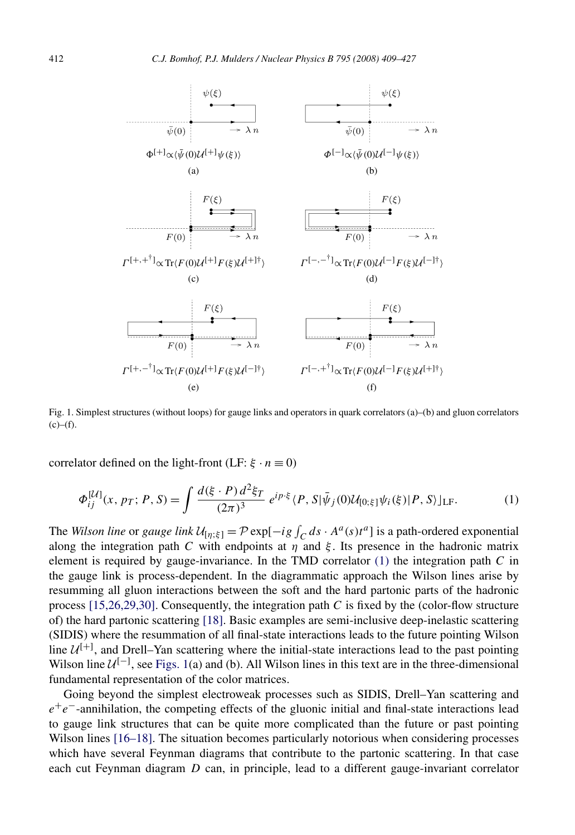<span id="page-4-0"></span>

Fig. 1. Simplest structures (without loops) for gauge links and operators in quark correlators (a)–(b) and gluon correlators  $(c)$ – $(f)$ .

correlator defined on the light-front (LF:  $\xi \cdot n \equiv 0$ )

$$
\Phi_{ij}^{[\mathcal{U}]}(x, p_T; P, S) = \int \frac{d(\xi \cdot P) d^2 \xi_T}{(2\pi)^3} e^{ip \cdot \xi} \langle P, S | \bar{\psi}_j(0) \mathcal{U}_{[0, \xi]} \psi_i(\xi) | P, S \rangle |_{\text{LF}}.
$$
(1)

The *Wilson line* or *gauge link*  $\mathcal{U}_{[\eta;\xi]} = \mathcal{P} \exp[-ig \int_C ds \cdot A^a(s)t^a]$  is a path-ordered exponential along the integration path *C* with endpoints at  $\eta$  and  $\xi$ . Its presence in the hadronic matrix element is required by gauge-invariance. In the TMD correlator (1) the integration path *C* in the gauge link is process-dependent. In the diagrammatic approach the Wilson lines arise by resumming all gluon interactions between the soft and the hard partonic parts of the hadronic process [\[15,26,29,30\].](#page-19-0) Consequently, the integration path *C* is fixed by the (color-flow structure of) the hard partonic scattering [\[18\].](#page-19-0) Basic examples are semi-inclusive deep-inelastic scattering (SIDIS) where the resummation of all final-state interactions leads to the future pointing Wilson line  $U^{[+]}$ , and Drell–Yan scattering where the initial-state interactions lead to the past pointing Wilson line  $U^{[-]}$ , see Figs. 1(a) and (b). All Wilson lines in this text are in the three-dimensional fundamental representation of the color matrices.

Going beyond the simplest electroweak processes such as SIDIS, Drell–Yan scattering and *e*<sup>+</sup>*e*<sup>−</sup>-annihilation, the competing effects of the gluonic initial and final-state interactions lead to gauge link structures that can be quite more complicated than the future or past pointing Wilson lines [\[16–18\].](#page-19-0) The situation becomes particularly notorious when considering processes which have several Feynman diagrams that contribute to the partonic scattering. In that case each cut Feynman diagram *D* can, in principle, lead to a different gauge-invariant correlator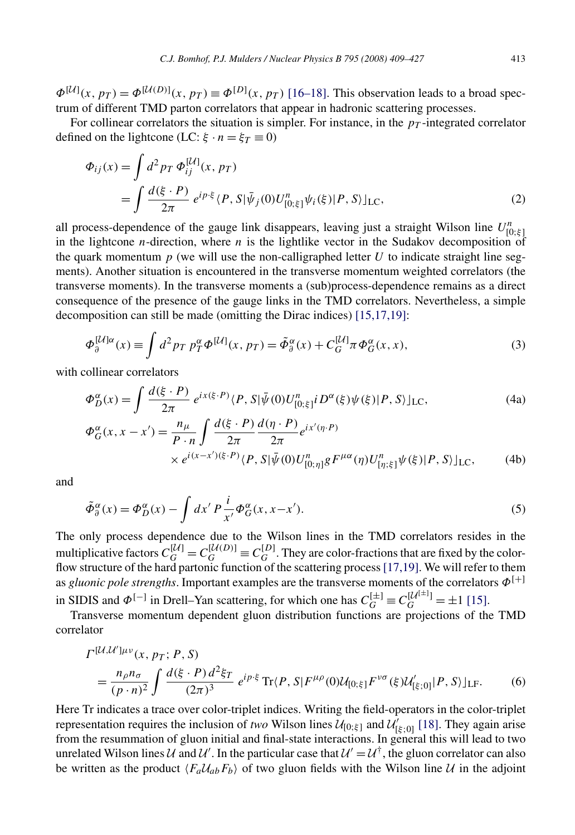<span id="page-5-0"></span> $\Phi^{[\mathcal{U}]}(x, p_T) = \Phi^{[\mathcal{U}(D)]}(x, p_T) \equiv \Phi^{[D]}(x, p_T)$  [\[16–18\].](#page-19-0) This observation leads to a broad spectrum of different TMD parton correlators that appear in hadronic scattering processes.

For collinear correlators the situation is simpler. For instance, in the  $p<sub>T</sub>$ -integrated correlator defined on the lightcone (LC:  $\xi \cdot n = \xi_T \equiv 0$ )

$$
\Phi_{ij}(x) = \int d^2 p_T \, \Phi_{ij}^{[U]}(x, p_T) \n= \int \frac{d(\xi \cdot P)}{2\pi} \, e^{ip \cdot \xi} \langle P, S | \bar{\psi}_j(0) U_{[0; \xi]}^n \psi_i(\xi) | P, S \rangle |_{\text{LC}},
$$
\n(2)

all process-dependence of the gauge link disappears, leaving just a straight Wilson line  $U_{[0;\xi]}^n$ in the lightcone *n*-direction, where *n* is the lightlike vector in the Sudakov decomposition of the quark momentum  $p$  (we will use the non-calligraphed letter  $U$  to indicate straight line segments). Another situation is encountered in the transverse momentum weighted correlators (the transverse moments). In the transverse moments a (sub)process-dependence remains as a direct consequence of the presence of the gauge links in the TMD correlators. Nevertheless, a simple decomposition can still be made (omitting the Dirac indices) [\[15,17,19\]:](#page-19-0)

$$
\Phi_{\partial}^{[\mathcal{U}]\alpha}(x) \equiv \int d^2p_T \ p_T^{\alpha} \Phi^{[\mathcal{U}]}(x, p_T) = \tilde{\Phi}_{\partial}^{\alpha}(x) + C_G^{[\mathcal{U}]} \pi \Phi_G^{\alpha}(x, x), \tag{3}
$$

with collinear correlators

$$
\Phi_D^{\alpha}(x) = \int \frac{d(\xi \cdot P)}{2\pi} e^{ix(\xi \cdot P)} \langle P, S | \bar{\psi}(0) U_{[0;\xi]}^n i D^{\alpha}(\xi) \psi(\xi) | P, S \rangle ]_{\text{LC}},\tag{4a}
$$

$$
\Phi_G^{\alpha}(x, x - x') = \frac{n_{\mu}}{P \cdot n} \int \frac{d(\xi \cdot P)}{2\pi} \frac{d(\eta \cdot P)}{2\pi} e^{ix'(\eta \cdot P)} \times e^{i(x - x')(\xi \cdot P)} \times P \cdot S|\bar{\psi}(0)U_{[0; \eta]}^n g F^{\mu\alpha}(\eta)U_{[\eta; \xi]}^n \psi(\xi)|P, S\rangle |_{\text{LC}}, \tag{4b}
$$

and

$$
\tilde{\Phi}_{\partial}^{\alpha}(x) = \Phi_D^{\alpha}(x) - \int dx' P \frac{i}{x'} \Phi_G^{\alpha}(x, x - x'). \tag{5}
$$

The only process dependence due to the Wilson lines in the TMD correlators resides in the multiplicative factors  $C_G^{[\mathcal{U}]} = C_G^{[\mathcal{U}(D)]} \equiv C_G^{[D]}$ . They are color-fractions that are fixed by the color-flow structure of the hard partonic function of the scattering process [\[17,19\].](#page-19-0) We will refer to them as *gluonic pole strengths*. Important examples are the transverse moments of the correlators *Φ*[+] in SIDIS and  $\Phi^{[-]}$  in Drell–Yan scattering, for which one has  $C_G^{[\pm]} \equiv C_G^{[\mathcal{U}^{[\pm]}]} = \pm 1$  [\[15\].](#page-19-0)

Transverse momentum dependent gluon distribution functions are projections of the TMD correlator

$$
\Gamma^{[\mathcal{U},\mathcal{U}']\mu\nu}(x, p_T; P, S) = \frac{n_{\rho}n_{\sigma}}{(p \cdot n)^2} \int \frac{d(\xi \cdot P) d^2 \xi_T}{(2\pi)^3} e^{ip \cdot \xi} \text{Tr}\langle P, S | F^{\mu\rho}(0) \mathcal{U}_{[0,\xi]} F^{\nu\sigma}(\xi) \mathcal{U}'_{[\xi;0]} | P, S \rangle |_{\text{LF}}.
$$
 (6)

Here Tr indicates a trace over color-triplet indices. Writing the field-operators in the color-triplet representation requires the inclusion of *two* Wilson lines  $\mathcal{U}_{[0;\xi]}$  and  $\mathcal{U}'_{[\xi;0]}$  [\[18\].](#page-19-0) They again arise from the resummation of gluon initial and final-state interactions. In general this will lead to two unrelated Wilson lines U and U'. In the particular case that  $U' = U^{\dagger}$ , the gluon correlator can also be written as the product  $\langle F_a U_{ab} F_b \rangle$  of two gluon fields with the Wilson line U in the adjoint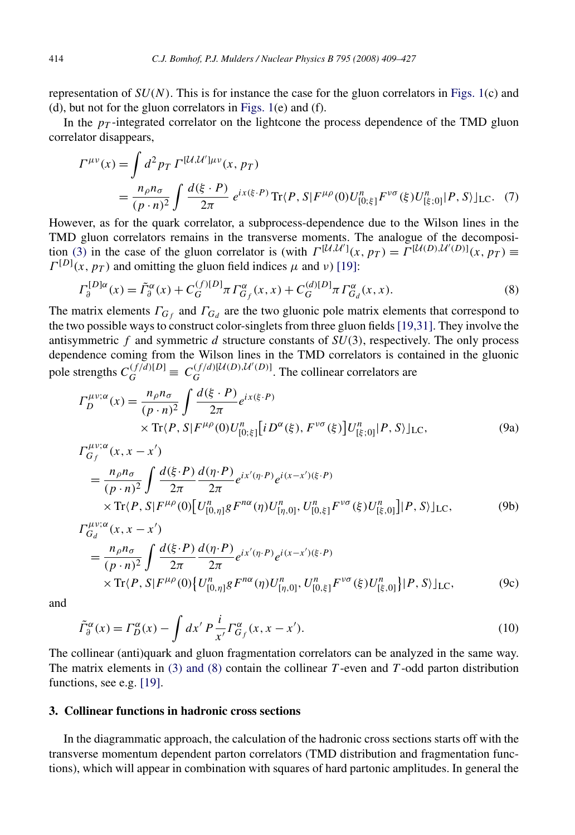<span id="page-6-0"></span>representation of *SU(N)*. This is for instance the case for the gluon correlators in [Figs. 1\(](#page-4-0)c) and (d), but not for the gluon correlators in [Figs. 1\(](#page-4-0)e) and (f).

In the  $p_T$ -integrated correlator on the lightcone the process dependence of the TMD gluon correlator disappears,

$$
\Gamma^{\mu\nu}(x) = \int d^2 p_T \, \Gamma^{[\mathcal{U}, \mathcal{U}'] \mu \nu}(x, p_T) \n= \frac{n_{\rho} n_{\sigma}}{(p \cdot n)^2} \int \frac{d(\xi \cdot P)}{2\pi} \, e^{ix(\xi \cdot P)} \, \text{Tr}\{P, S | F^{\mu\rho}(0) U_{[0; \xi]}^n F^{\nu\sigma}(\xi) U_{[\xi; 0]}^n | P, S \rangle ]_{\text{LC}}.
$$
\n(7)

However, as for the quark correlator, a subprocess-dependence due to the Wilson lines in the TMD gluon correlators remains in the transverse moments. The analogue of the decomposi-tion [\(3\)](#page-5-0) in the case of the gluon correlator is (with  $\Gamma^{[\mathcal{U},\mathcal{U}']}(x,p_T) = \Gamma^{[\mathcal{U}(D),\mathcal{U}'(D)]}(x,p_T)$  $\Gamma^{[D]}(x, p)$  and omitting the gluon field indices  $\mu$  and *ν*) [\[19\]:](#page-19-0)

$$
\Gamma_{\partial}^{[D]\alpha}(x) = \tilde{\Gamma}_{\partial}^{\alpha}(x) + C_{G}^{(f)[D]} \pi \Gamma_{G_f}^{\alpha}(x, x) + C_{G}^{(d)[D]} \pi \Gamma_{G_d}^{\alpha}(x, x).
$$
\n(8)

The matrix elements  $\Gamma_{G_f}$  and  $\Gamma_{G_d}$  are the two gluonic pole matrix elements that correspond to the two possible ways to construct color-singlets from three gluon fields[\[19,31\].](#page-19-0) They involve the antisymmetric *f* and symmetric *d* structure constants of *SU(*3*)*, respectively. The only process dependence coming from the Wilson lines in the TMD correlators is contained in the gluonic pole strengths  $C_G^{(f/d)[D]} \equiv C_G^{(f/d)[U(D),U'(D)]}$ . The collinear correlators are

$$
\Gamma_D^{\mu\nu;\alpha}(x) = \frac{n_\rho n_\sigma}{(p \cdot n)^2} \int \frac{d(\xi \cdot P)}{2\pi} e^{ix(\xi \cdot P)} \times \text{Tr}(P, S | F^{\mu\rho}(0) U_{[0; \xi]}^n[iD^\alpha(\xi), F^{\nu\sigma}(\xi)] U_{[\xi; 0]}^n | P, S \rangle |_{\text{LC}},
$$
\n(9a)

$$
\Gamma_{G_f}^{\mu\nu;\alpha}(x, x - x')
$$
\n
$$
= \frac{n_{\rho}n_{\sigma}}{(p \cdot n)^2} \int \frac{d(\xi \cdot P)}{2\pi} \frac{d(\eta \cdot P)}{2\pi} e^{ix'(\eta \cdot P)} e^{i(x - x')(\xi \cdot P)}
$$
\n
$$
\times \text{Tr}\langle P, S | F^{\mu\rho}(0) [U_{[0,\eta]}^n g F^{n\alpha}(\eta) U_{[\eta,0]}^n, U_{[0,\xi]}^n F^{\nu\sigma}(\xi) U_{[\xi,0]}^n] | P, S \rangle]_{\text{LC}}, \tag{9b}
$$

$$
\Gamma_{G_d}^{\mu\nu;\alpha}(x, x - x')
$$
\n
$$
= \frac{n_{\rho}n_{\sigma}}{(p \cdot n)^2} \int \frac{d(\xi \cdot P)}{2\pi} \frac{d(\eta \cdot P)}{2\pi} e^{ix'(\eta \cdot P)} e^{i(x - x')(\xi \cdot P)}
$$
\n
$$
\times \text{Tr}\{P, S|F^{\mu\rho}(0)\} [U_{[0, \eta]}^n g F^{n\alpha}(\eta) U_{[\eta, 0]}^n, U_{[0, \xi]}^n F^{\nu\sigma}(\xi) U_{[\xi, 0]}^n]|P, S\rangle]_{\text{LC}},
$$
\n(9c)

and

$$
\tilde{\Gamma}_{\partial}^{\alpha}(x) = \Gamma_D^{\alpha}(x) - \int dx' P \frac{i}{x'} \Gamma_{G_f}^{\alpha}(x, x - x'). \tag{10}
$$

The collinear (anti)quark and gluon fragmentation correlators can be analyzed in the same way. The matrix elements in [\(3\) and \(8\)](#page-5-0) contain the collinear *T* -even and *T* -odd parton distribution functions, see e.g. [\[19\].](#page-19-0)

#### **3. Collinear functions in hadronic cross sections**

In the diagrammatic approach, the calculation of the hadronic cross sections starts off with the transverse momentum dependent parton correlators (TMD distribution and fragmentation functions), which will appear in combination with squares of hard partonic amplitudes. In general the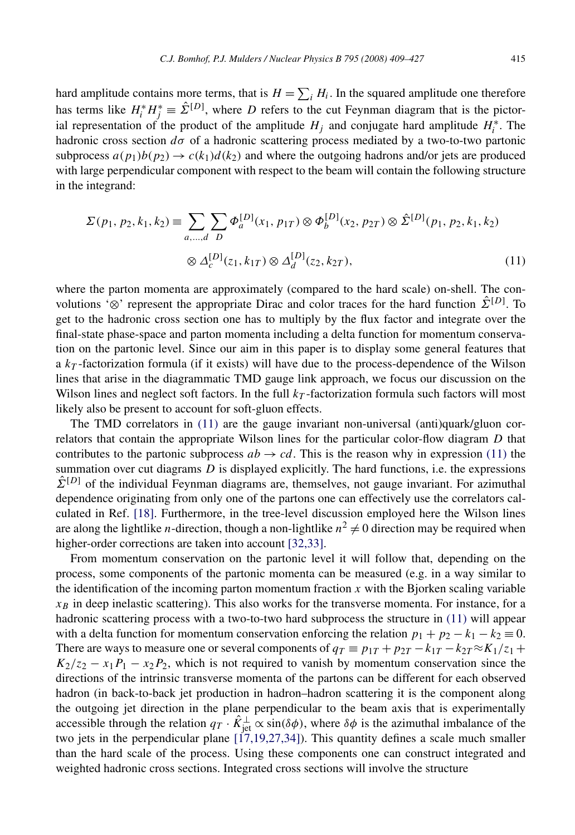<span id="page-7-0"></span>hard amplitude contains more terms, that is  $H = \sum_i H_i$ . In the squared amplitude one therefore has terms like  $H_i^* H_j^* \equiv \hat{\Sigma}^{[D]}$ , where *D* refers to the cut Feynman diagram that is the pictorial representation of the product of the amplitude  $H_j$  and conjugate hard amplitude  $H_i^*$ . The hadronic cross section  $d\sigma$  of a hadronic scattering process mediated by a two-to-two partonic subprocess  $a(p_1)b(p_2) \rightarrow c(k_1)d(k_2)$  and where the outgoing hadrons and/or jets are produced with large perpendicular component with respect to the beam will contain the following structure in the integrand:

$$
\Sigma(p_1, p_2, k_1, k_2) \equiv \sum_{a, \dots, d} \sum_{D} \Phi_a^{[D]}(x_1, p_{1T}) \otimes \Phi_b^{[D]}(x_2, p_{2T}) \otimes \hat{\Sigma}^{[D]}(p_1, p_2, k_1, k_2)
$$
  

$$
\otimes \Delta_c^{[D]}(z_1, k_{1T}) \otimes \Delta_d^{[D]}(z_2, k_{2T}),
$$
 (11)

where the parton momenta are approximately (compared to the hard scale) on-shell. The convolutions '⊗' represent the appropriate Dirac and color traces for the hard function  $\hat{\Sigma}^{[D]}$ . To get to the hadronic cross section one has to multiply by the flux factor and integrate over the final-state phase-space and parton momenta including a delta function for momentum conservation on the partonic level. Since our aim in this paper is to display some general features that a  $k_T$ -factorization formula (if it exists) will have due to the process-dependence of the Wilson lines that arise in the diagrammatic TMD gauge link approach, we focus our discussion on the Wilson lines and neglect soft factors. In the full  $k<sub>T</sub>$ -factorization formula such factors will most likely also be present to account for soft-gluon effects.

The TMD correlators in  $(11)$  are the gauge invariant non-universal (anti)quark/gluon correlators that contain the appropriate Wilson lines for the particular color-flow diagram *D* that contributes to the partonic subprocess  $ab \rightarrow cd$ . This is the reason why in expression (11) the summation over cut diagrams *D* is displayed explicitly. The hard functions, i.e. the expressions  $\hat{\Sigma}^{[D]}$  of the individual Feynman diagrams are, themselves, not gauge invariant. For azimuthal dependence originating from only one of the partons one can effectively use the correlators calculated in Ref. [\[18\].](#page-19-0) Furthermore, in the tree-level discussion employed here the Wilson lines are along the lightlike *n*-direction, though a non-lightlike  $n^2 \neq 0$  direction may be required when higher-order corrections are taken into account [\[32,33\].](#page-19-0)

From momentum conservation on the partonic level it will follow that, depending on the process, some components of the partonic momenta can be measured (e.g. in a way similar to the identification of the incoming parton momentum fraction  $x$  with the Bjorken scaling variable  $x_B$  in deep inelastic scattering). This also works for the transverse momenta. For instance, for a hadronic scattering process with a two-to-two hard subprocess the structure in  $(11)$  will appear with a delta function for momentum conservation enforcing the relation  $p_1 + p_2 - k_1 - k_2 \equiv 0$ . There are ways to measure one or several components of  $q_T \equiv p_{1T} + p_{2T} - k_{1T} - k_{2T} \approx K_1/z_1 +$  $K_2/z_2 - x_1P_1 - x_2P_2$ , which is not required to vanish by momentum conservation since the directions of the intrinsic transverse momenta of the partons can be different for each observed hadron (in back-to-back jet production in hadron–hadron scattering it is the component along the outgoing jet direction in the plane perpendicular to the beam axis that is experimentally accessible through the relation  $q_T \cdot \hat{K}_{jet}^{\perp} \propto \sin(\delta \phi)$ , where  $\delta \phi$  is the azimuthal imbalance of the two jets in the perpendicular plane  $[\frac{17}{19},\frac{27}{34}]$ . This quantity defines a scale much smaller than the hard scale of the process. Using these components one can construct integrated and weighted hadronic cross sections. Integrated cross sections will involve the structure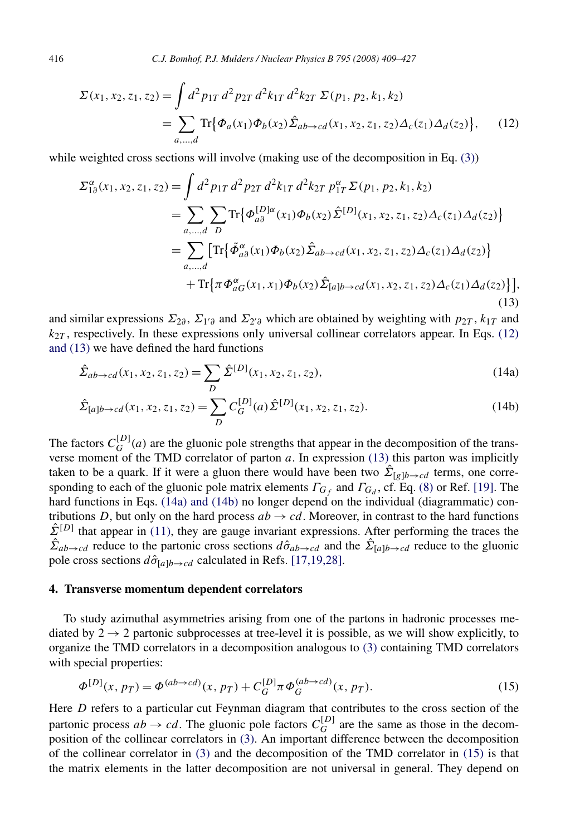<span id="page-8-0"></span>416 *C.J. Bomhof, P.J. Mulders / Nuclear Physics B 795 (2008) 409–427*

$$
\Sigma(x_1, x_2, z_1, z_2) = \int d^2 p_{1T} d^2 p_{2T} d^2 k_{1T} d^2 k_{2T} \Sigma(p_1, p_2, k_1, k_2)
$$
  
= 
$$
\sum_{a,...,d} \text{Tr} \{ \Phi_a(x_1) \Phi_b(x_2) \hat{\Sigma}_{ab \to cd}(x_1, x_2, z_1, z_2) \Delta_c(z_1) \Delta_d(z_2) \},
$$
 (12)

while weighted cross sections will involve (making use of the decomposition in Eq. [\(3\)\)](#page-5-0)

$$
\Sigma_{1\partial}^{\alpha}(x_1, x_2, z_1, z_2) = \int d^2 p_{1T} d^2 p_{2T} d^2 k_{1T} d^2 k_{2T} p_{1T}^{\alpha} \Sigma(p_1, p_2, k_1, k_2)
$$
  
\n
$$
= \sum_{a,...,d} \sum_{D} \text{Tr} \{ \Phi_{a\partial}^{[D] \alpha}(x_1) \Phi_b(x_2) \hat{\Sigma}^{[D]}(x_1, x_2, z_1, z_2) \Delta_c(z_1) \Delta_d(z_2) \}
$$
  
\n
$$
= \sum_{a,...,d} \left[ \text{Tr} \{ \tilde{\Phi}_{a\partial}^{\alpha}(x_1) \Phi_b(x_2) \hat{\Sigma}_{ab \to cd}(x_1, x_2, z_1, z_2) \Delta_c(z_1) \Delta_d(z_2) \} \right]
$$
  
\n
$$
+ \text{Tr} \{ \pi \Phi_{aG}^{\alpha}(x_1, x_1) \Phi_b(x_2) \hat{\Sigma}_{[a]b \to cd}(x_1, x_2, z_1, z_2) \Delta_c(z_1) \Delta_d(z_2) \} ],
$$
  
\n(13)

and similar expressions  $\Sigma_{2\partial}$ ,  $\Sigma_{1'\partial}$  and  $\Sigma_{2'\partial}$  which are obtained by weighting with  $p_{2T}$ ,  $k_{1T}$  and  $k_{2T}$ , respectively. In these expressions only universal collinear correlators appear. In Eqs. (12) and (13) we have defined the hard functions

$$
\hat{\Sigma}_{ab \to cd}(x_1, x_2, z_1, z_2) = \sum_{D} \hat{\Sigma}^{[D]}(x_1, x_2, z_1, z_2),\tag{14a}
$$

$$
\hat{\Sigma}_{[a]b \to cd}(x_1, x_2, z_1, z_2) = \sum_{D} C_G^{[D]}(a) \hat{\Sigma}^{[D]}(x_1, x_2, z_1, z_2).
$$
\n(14b)

The factors  $C_G^{[D]}(a)$  are the gluonic pole strengths that appear in the decomposition of the transverse moment of the TMD correlator of parton *a*. In expression (13) this parton was implicitly taken to be a quark. If it were a gluon there would have been two  $\hat{\Sigma}_{[g]b\to cd}$  terms, one corresponding to each of the gluonic pole matrix elements  $\Gamma_{G_f}$  and  $\Gamma_{G_d}$ , cf. Eq. [\(8\)](#page-6-0) or Ref. [\[19\].](#page-19-0) The hard functions in Eqs. (14a) and (14b) no longer depend on the individual (diagrammatic) contributions *D*, but only on the hard process  $ab \rightarrow cd$ . Moreover, in contrast to the hard functions  $\hat{\Sigma}^{[D]}$  that appear in [\(11\),](#page-7-0) they are gauge invariant expressions. After performing the traces the  $\hat{\Sigma}_{ab\to cd}$  reduce to the partonic cross sections  $d\hat{\sigma}_{ab\to cd}$  and the  $\hat{\Sigma}_{[a]b\to cd}$  reduce to the gluonic pole cross sections  $d\hat{\sigma}_{[a]b\rightarrow cd}$  calculated in Refs. [\[17,19,28\].](#page-19-0)

#### **4. Transverse momentum dependent correlators**

To study azimuthal asymmetries arising from one of the partons in hadronic processes mediated by  $2 \rightarrow 2$  partonic subprocesses at tree-level it is possible, as we will show explicitly, to organize the TMD correlators in a decomposition analogous to [\(3\)](#page-5-0) containing TMD correlators with special properties:

$$
\Phi^{[D]}(x, p_T) = \Phi^{(ab \to cd)}(x, p_T) + C_G^{[D]} \pi \Phi_G^{(ab \to cd)}(x, p_T). \tag{15}
$$

Here *D* refers to a particular cut Feynman diagram that contributes to the cross section of the partonic process  $ab \rightarrow cd$ . The gluonic pole factors  $C_G^{[D]}$  are the same as those in the decomposition of the collinear correlators in [\(3\).](#page-5-0) An important difference between the decomposition of the collinear correlator in [\(3\)](#page-5-0) and the decomposition of the TMD correlator in (15) is that the matrix elements in the latter decomposition are not universal in general. They depend on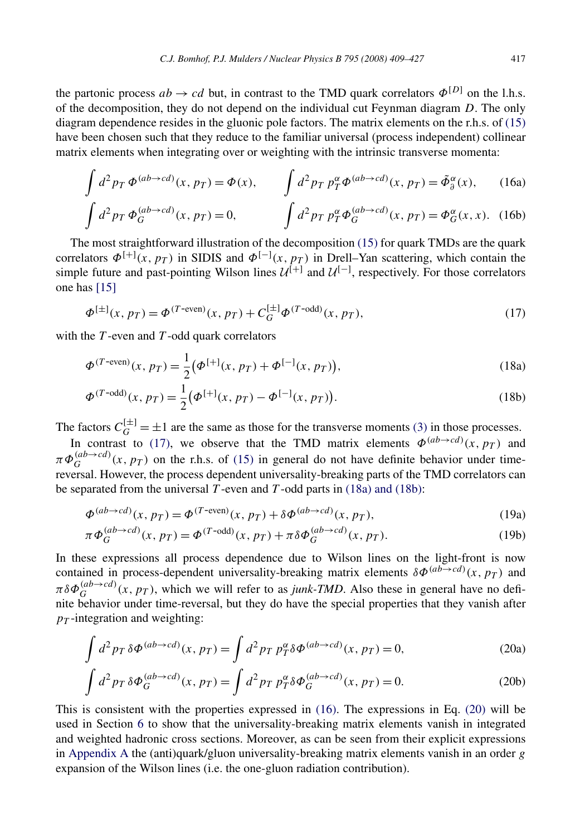<span id="page-9-0"></span>the partonic process  $ab \rightarrow cd$  but, in contrast to the TMD quark correlators  $\Phi^{[D]}$  on the l.h.s. of the decomposition, they do not depend on the individual cut Feynman diagram *D*. The only diagram dependence resides in the gluonic pole factors. The matrix elements on the r.h.s. of [\(15\)](#page-8-0) have been chosen such that they reduce to the familiar universal (process independent) collinear matrix elements when integrating over or weighting with the intrinsic transverse momenta:

$$
\int d^2p_T \, \Phi^{(ab \to cd)}(x, p_T) = \Phi(x), \qquad \int d^2p_T \, p_T^{\alpha} \Phi^{(ab \to cd)}(x, p_T) = \tilde{\Phi}_{\theta}^{\alpha}(x), \qquad (16a)
$$

$$
\int d^2p_T \, \Phi_G^{(ab \to cd)}(x, p_T) = 0, \qquad \int d^2p_T \, p_T^{\alpha} \Phi_G^{(ab \to cd)}(x, p_T) = \Phi_G^{\alpha}(x, x). \tag{16b}
$$

The most straightforward illustration of the decomposition [\(15\)](#page-8-0) for quark TMDs are the quark correlators  $\Phi^{[+]}(x, p_T)$  in SIDIS and  $\Phi^{[-]}(x, p_T)$  in Drell–Yan scattering, which contain the simple future and past-pointing Wilson lines  $\mathcal{U}^{[+]}$  and  $\mathcal{U}^{[-]}$ , respectively. For those correlators one has [\[15\]](#page-19-0)

$$
\Phi^{[\pm]}(x, p_T) = \Phi^{(T-\text{even})}(x, p_T) + C_G^{[\pm]} \Phi^{(T-\text{odd})}(x, p_T),\tag{17}
$$

with the *T*-even and *T*-odd quark correlators

$$
\Phi^{(T\text{-even})}(x, p_T) = \frac{1}{2} \big( \Phi^{[+]}(x, p_T) + \Phi^{[-]}(x, p_T) \big),\tag{18a}
$$

$$
\Phi^{(T-\text{odd})}(x, p_T) = \frac{1}{2} \left( \Phi^{[+]}(x, p_T) - \Phi^{[-]}(x, p_T) \right).
$$
\n(18b)

The factors  $C_G^{\{\pm\}} = \pm 1$  are the same as those for the transverse moments [\(3\)](#page-5-0) in those processes.

In contrast to (17), we observe that the TMD matrix elements  $\phi^{(ab\rightarrow cd)}(x, p_T)$  and  $\pi \Phi_G^{(ab \to cd)}(x, p_T)$  on the r.h.s. of [\(15\)](#page-8-0) in general do not have definite behavior under timereversal. However, the process dependent universality-breaking parts of the TMD correlators can be separated from the universal  $T$ -even and  $T$ -odd parts in (18a) and (18b):

$$
\Phi^{(ab \to cd)}(x, p_T) = \Phi^{(T\text{-even})}(x, p_T) + \delta \Phi^{(ab \to cd)}(x, p_T),\tag{19a}
$$

$$
\pi \Phi_G^{(ab \to cd)}(x, p_T) = \Phi^{(T-\text{odd})}(x, p_T) + \pi \delta \Phi_G^{(ab \to cd)}(x, p_T). \tag{19b}
$$

In these expressions all process dependence due to Wilson lines on the light-front is now contained in process-dependent universality-breaking matrix elements  $\delta \Phi^{(ab \to cd)}(x, p_T)$  and  $\pi \delta \Phi_G^{(ab \to cd)}(x, p_T)$ , which we will refer to as *junk-TMD*. Also these in general have no definite behavior under time-reversal, but they do have the special properties that they vanish after  $p_T$ -integration and weighting:

$$
\int d^2p_T \,\delta\Phi^{(ab\to cd)}(x, p_T) = \int d^2p_T \,p_T^{\alpha}\delta\Phi^{(ab\to cd)}(x, p_T) = 0,\tag{20a}
$$

$$
\int d^2p_T \,\delta\Phi_G^{(ab\to cd)}(x,p_T) = \int d^2p_T \,p_T^{\alpha}\delta\Phi_G^{(ab\to cd)}(x,p_T) = 0. \tag{20b}
$$

This is consistent with the properties expressed in (16). The expressions in Eq. (20) will be used in Section [6](#page-13-0) to show that the universality-breaking matrix elements vanish in integrated and weighted hadronic cross sections. Moreover, as can be seen from their explicit expressions in [Appendix A](#page-16-0) the (anti)quark/gluon universality-breaking matrix elements vanish in an order *g* expansion of the Wilson lines (i.e. the one-gluon radiation contribution).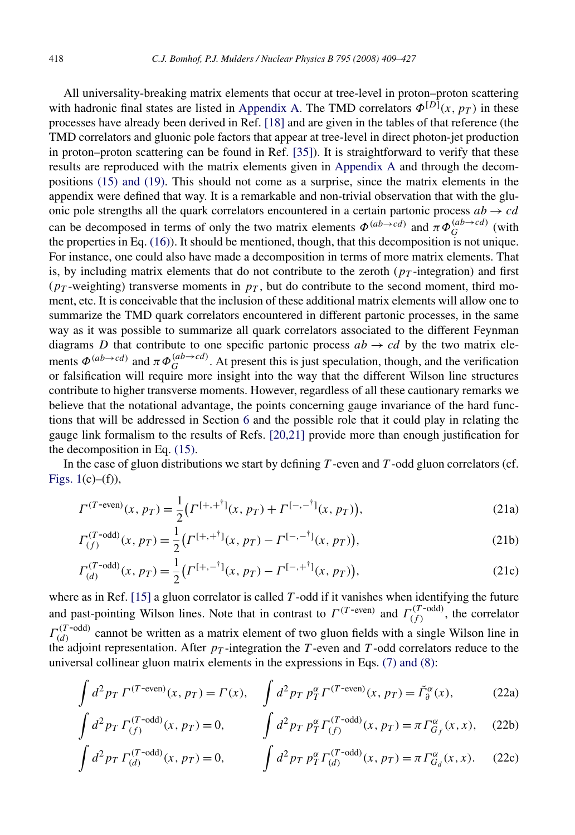All universality-breaking matrix elements that occur at tree-level in proton–proton scattering with hadronic final states are listed in [Appendix A.](#page-16-0) The TMD correlators  $\Phi^{[D]}(x, p_T)$  in these processes have already been derived in Ref. [\[18\]](#page-19-0) and are given in the tables of that reference (the TMD correlators and gluonic pole factors that appear at tree-level in direct photon-jet production in proton–proton scattering can be found in Ref. [\[35\]\)](#page-19-0). It is straightforward to verify that these results are reproduced with the matrix elements given in [Appendix A](#page-16-0) and through the decompositions [\(15\) and \(19\).](#page-8-0) This should not come as a surprise, since the matrix elements in the appendix were defined that way. It is a remarkable and non-trivial observation that with the gluonic pole strengths all the quark correlators encountered in a certain partonic process  $ab \rightarrow cd$ can be decomposed in terms of only the two matrix elements  $\Phi^{(ab\to cd)}$  and  $\pi \Phi_G^{(ab\to cd)}$  (with the properties in Eq. [\(16\)\)](#page-9-0). It should be mentioned, though, that this decomposition is not unique. For instance, one could also have made a decomposition in terms of more matrix elements. That is, by including matrix elements that do not contribute to the zeroth  $(p_T$ -integration) and first  $(p_T$ -weighting) transverse moments in  $p_T$ , but do contribute to the second moment, third moment, etc. It is conceivable that the inclusion of these additional matrix elements will allow one to summarize the TMD quark correlators encountered in different partonic processes, in the same way as it was possible to summarize all quark correlators associated to the different Feynman diagrams *D* that contribute to one specific partonic process  $ab \rightarrow cd$  by the two matrix elements  $\Phi^{(ab\to cd)}$  and  $\pi \Phi_G^{(ab\to cd)}$ . At present this is just speculation, though, and the verification or falsification will require more insight into the way that the different Wilson line structures contribute to higher transverse moments. However, regardless of all these cautionary remarks we believe that the notational advantage, the points concerning gauge invariance of the hard functions that will be addressed in Section [6](#page-13-0) and the possible role that it could play in relating the gauge link formalism to the results of Refs. [\[20,21\]](#page-19-0) provide more than enough justification for the decomposition in Eq. [\(15\).](#page-8-0)

In the case of gluon distributions we start by defining *T* -even and *T* -odd gluon correlators (cf. [Figs. 1\(](#page-4-0)c)–(f)),

$$
\Gamma^{(T\text{-even})}(x, p_T) = \frac{1}{2} \left( \Gamma^{[+,+^{\dagger}]}(x, p_T) + \Gamma^{[-,-^{\dagger}]}(x, p_T) \right),\tag{21a}
$$

$$
\Gamma_{(f)}^{(T-\text{odd})}(x, p_T) = \frac{1}{2} \left( \Gamma^{[+,+^{\dagger}]}(x, p_T) - \Gamma^{[-,-^{\dagger}]}(x, p_T) \right),\tag{21b}
$$

$$
\Gamma_{(d)}^{(T-\text{odd})}(x, p_T) = \frac{1}{2} \left( \Gamma^{[+, -^{\dagger}]}(x, p_T) - \Gamma^{[-, +^{\dagger}]}(x, p_T) \right),\tag{21c}
$$

where as in Ref. [\[15\]](#page-19-0) a gluon correlator is called *T* -odd if it vanishes when identifying the future and past-pointing Wilson lines. Note that in contrast to  $\Gamma^{(T\text{-even})}$  and  $\Gamma^{(T\text{-odd})}_{(f)}$ , the correlator  $\Gamma^{(T\text{-odd})}_{(d)}$  cannot be written as a matrix element of two gluon fields with a single Wilson line in the adjoint representation. After  $p_T$ -integration the *T*-even and *T*-odd correlators reduce to the universal collinear gluon matrix elements in the expressions in Eqs. [\(7\) and \(8\):](#page-6-0)

$$
\int d^2p_T \Gamma^{(T\text{-even})}(x, p_T) = \Gamma(x), \quad \int d^2p_T \ p_T^{\alpha} \Gamma^{(T\text{-even})}(x, p_T) = \tilde{\Gamma}_{\partial}^{\alpha}(x), \tag{22a}
$$

$$
\int d^2 p_T \, \Gamma_{(f)}^{(T-\text{odd})}(x, p_T) = 0, \qquad \int d^2 p_T \, p_T^{\alpha} \Gamma_{(f)}^{(T-\text{odd})}(x, p_T) = \pi \, \Gamma_{G_f}^{\alpha}(x, x), \quad (22b)
$$

$$
\int d^2 p_T \, \Gamma_{(d)}^{(T-\text{odd})}(x, p_T) = 0, \qquad \int d^2 p_T \, p_T^{\alpha} \Gamma_{(d)}^{(T-\text{odd})}(x, p_T) = \pi \, \Gamma_{G_d}^{\alpha}(x, x). \tag{22c}
$$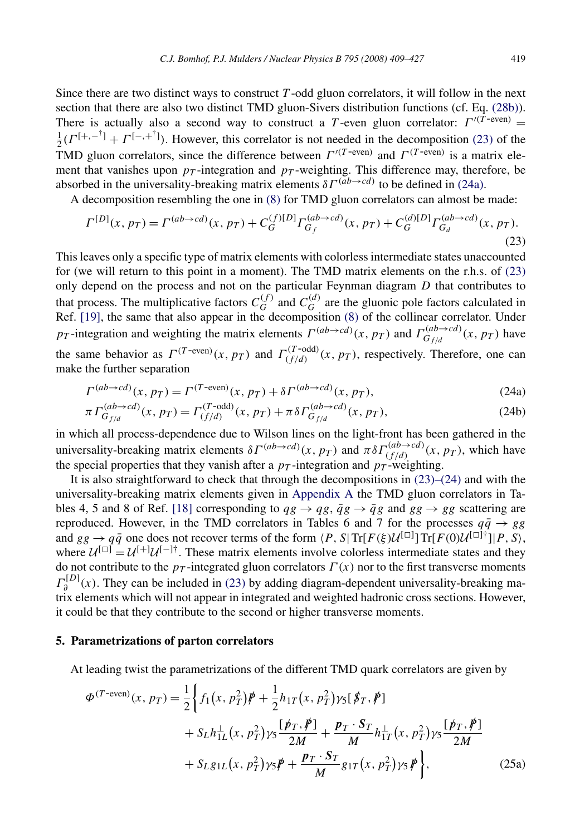<span id="page-11-0"></span>Since there are two distinct ways to construct *T* -odd gluon correlators, it will follow in the next section that there are also two distinct TMD gluon-Sivers distribution functions (cf. Eq. [\(28b\)\)](#page-13-0). There is actually also a second way to construct a *T*-even gluon correlator:  $\Gamma^{(T-\text{even})}$  =  $\frac{1}{2}(\Gamma^{[+, -^{\dagger}]} + \Gamma^{[-, +^{\dagger}]})$ . However, this correlator is not needed in the decomposition (23) of the **TMD** gluon correlators, since the difference between  $\Gamma^{(T-\text{even})}$  and  $\Gamma^{(T-\text{even})}$  is a matrix element that vanishes upon  $p_T$ -integration and  $p_T$ -weighting. This difference may, therefore, be absorbed in the universality-breaking matrix elements *δΓ (ab*→*cd)* to be defined in (24a).

A decomposition resembling the one in [\(8\)](#page-6-0) for TMD gluon correlators can almost be made:

$$
\Gamma^{[D]}(x, p_T) = \Gamma^{(ab \to cd)}(x, p_T) + C_G^{(f)[D]} \Gamma_{G_f}^{(ab \to cd)}(x, p_T) + C_G^{(d)[D]} \Gamma_{G_d}^{(ab \to cd)}(x, p_T). \tag{23}
$$

This leaves only a specific type of matrix elements with colorless intermediate states unaccounted for (we will return to this point in a moment). The TMD matrix elements on the r.h.s. of (23) only depend on the process and not on the particular Feynman diagram *D* that contributes to that process. The multiplicative factors  $C_G^{(f)}$  and  $C_G^{(d)}$  are the gluonic pole factors calculated in Ref. [\[19\],](#page-19-0) the same that also appear in the decomposition [\(8\)](#page-6-0) of the collinear correlator. Under *pT* -integration and weighting the matrix elements  $\Gamma^{(ab \to cd)}(x, p_T)$  and  $\Gamma^{(ab \to cd)}_{G_f/d}(x, p_T)$  have the same behavior as  $\Gamma^{(T\text{-even})}(x, p_T)$  and  $\Gamma^{(T\text{-odd})}_{(f/d)}(x, p_T)$ , respectively. Therefore, one can make the further separation

$$
\Gamma^{(ab \to cd)}(x, p_T) = \Gamma^{(T\text{-even})}(x, p_T) + \delta \Gamma^{(ab \to cd)}(x, p_T),\tag{24a}
$$

$$
\pi \Gamma_{G_{f/d}}^{(ab \to cd)}(x, p_T) = \Gamma_{(f/d)}^{(T \to odd)}(x, p_T) + \pi \delta \Gamma_{G_{f/d}}^{(ab \to cd)}(x, p_T), \tag{24b}
$$

in which all process-dependence due to Wilson lines on the light-front has been gathered in the universality-breaking matrix elements *δ*Γ<sup>(ab→*cd*)</sup>(*x,pT*) and  $πδΓ$ <sub>(f/d)</sub>  $(x, p_T)$ , which have the special properties that they vanish after a  $p<sub>T</sub>$ -integration and  $p<sub>T</sub>$ -weighting.

It is also straightforward to check that through the decompositions in  $(23)$ – $(24)$  and with the universality-breaking matrix elements given in [Appendix A](#page-16-0) the TMD gluon correlators in Ta-bles 4, 5 and 8 of Ref. [\[18\]](#page-19-0) corresponding to  $qg \rightarrow qg$ ,  $\bar{q}g \rightarrow \bar{q}g$  and  $gg \rightarrow gg$  scattering are reproduced. However, in the TMD correlators in Tables 6 and 7 for the processes  $q\bar{q} \rightarrow gg$ and  $gg \to q\bar{q}$  one does not recover terms of the form  $\langle P, S | \text{Tr}[F(\xi) \mathcal{U}^{[\Box]}] \text{Tr}[F(0) \mathcal{U}^{[\Box]\dagger}] | P, S \rangle$ , where  $U^{[\Box]} = U^{[\Box]} U^{[\Box]}$ . These matrix elements involve colorless intermediate states and they do not contribute to the  $p_T$ -integrated gluon correlators  $\Gamma(x)$  nor to the first transverse moments  $\Gamma_{\theta}^{[D]}(x)$ . They can be included in (23) by adding diagram-dependent universality-breaking matrix elements which will not appear in integrated and weighted hadronic cross sections. However, it could be that they contribute to the second or higher transverse moments.

#### **5. Parametrizations of parton correlators**

At leading twist the parametrizations of the different TMD quark correlators are given by

$$
\Phi^{(T\text{-even})}(x, p_T) = \frac{1}{2} \Biggl\{ f_1(x, p_T^2) \cancel{p} + \frac{1}{2} h_{1T}(x, p_T^2) \gamma_5 [\cancel{p}_T, \cancel{p}_1] + S_L h_{1L}^{\perp}(x, p_T^2) \gamma_5 \frac{[\cancel{p}_T, \cancel{p}_1}{2M} + \frac{\cancel{p}_T \cdot S_T}{M} h_{1T}^{\perp}(x, p_T^2) \gamma_5 \frac{[\cancel{p}_T, \cancel{p}_1]}{2M} + S_L g_{1L}(x, p_T^2) \gamma_5 \cancel{p} + \frac{\cancel{p}_T \cdot S_T}{M} g_{1T}(x, p_T^2) \gamma_5 \cancel{p} \Biggr\},\tag{25a}
$$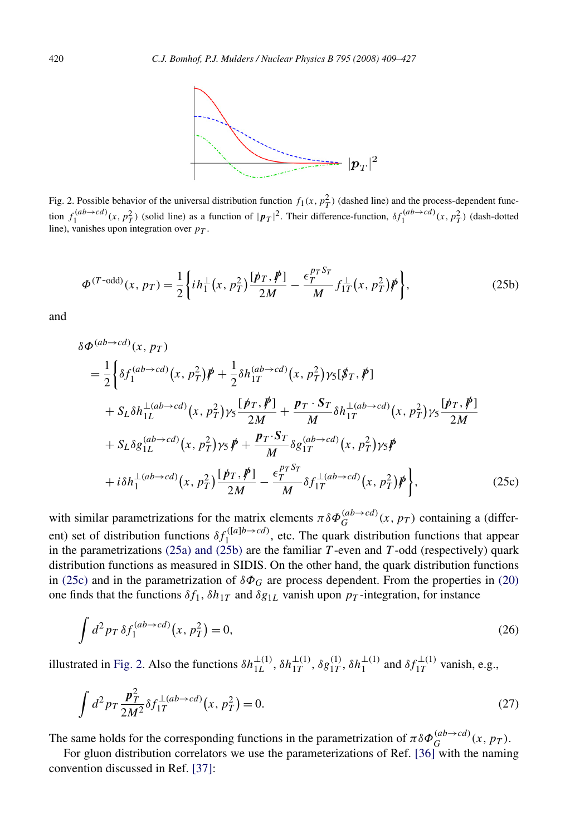<span id="page-12-0"></span>

Fig. 2. Possible behavior of the universal distribution function  $f_1(x, p_T^2)$  (dashed line) and the process-dependent function  $f_1^{(ab\to cd)}(x, p_T^2)$  (solid line) as a function of  $|p_T|^2$ . Their difference-function,  $\delta f_1^{(ab\to cd)}(x, p_T^2)$  (dash-dotted line), vanishes upon integration over *pT* .

$$
\Phi^{(T-\text{odd})}(x, p_T) = \frac{1}{2} \left\{ i h_1^\perp (x, p_T^2) \frac{[\not p_T, \not p]}{2M} - \frac{\epsilon_T^{p_T S_T}}{M} f_{1T}^\perp (x, p_T^2) \not p \right\},\tag{25b}
$$

and

$$
\delta \Phi^{(ab \to cd)}(x, p_T)
$$
\n
$$
= \frac{1}{2} \Biggl\{ \delta f_1^{(ab \to cd)}(x, p_T^2) \not{p} + \frac{1}{2} \delta h_{1T}^{(ab \to cd)}(x, p_T^2) \gamma_5 [\not{p}_T, \not{p}] + S_L \delta h_{1L}^{\perp (ab \to cd)}(x, p_T^2) \gamma_5 \frac{[\not{p}_T, \not{p}]}{2M} + \frac{\not{p}_T \cdot S_T}{M} \delta h_{1T}^{\perp (ab \to cd)}(x, p_T^2) \gamma_5 \frac{[\not{p}_T, \not{p}]}{2M} + S_L \delta g_{1L}^{(ab \to cd)}(x, p_T^2) \gamma_5 \not{p} + \frac{\not{p}_T \cdot S_T}{M} \delta g_{1T}^{(ab \to cd)}(x, p_T^2) \gamma_5 \not{p} + i \delta h_1^{\perp (ab \to cd)}(x, p_T^2) \frac{[\not{p}_T, \not{p}]}{2M} - \frac{\epsilon_T^{\rho_T S_T}}{M} \delta f_{1T}^{\perp (ab \to cd)}(x, p_T^2) \not{p} \Biggr\}, \tag{25c}
$$

with similar parametrizations for the matrix elements  $\pi \delta \Phi_G^{(ab \to cd)}(x, p_T)$  containing a (different) set of distribution functions  $\delta f_1^{([a]b \to cd)}$ , etc. The quark distribution functions that appear in the parametrizations [\(25a\) and \(25b\)](#page-11-0) are the familiar *T* -even and *T* -odd (respectively) quark distribution functions as measured in SIDIS. On the other hand, the quark distribution functions in (25c) and in the parametrization of *δΦG* are process dependent. From the properties in [\(20\)](#page-9-0) one finds that the functions  $\delta f_1$ ,  $\delta h_{1T}$  and  $\delta g_{1L}$  vanish upon  $p_T$ -integration, for instance

$$
\int d^2 p_T \,\delta f_1^{(ab \to cd)}(x, p_T^2) = 0,\tag{26}
$$

illustrated in Fig. 2. Also the functions  $\delta h_{1L}^{\perp(1)}$ ,  $\delta h_{1T}^{\perp(1)}$ ,  $\delta g_{1T}^{(1)}$ ,  $\delta h_{1}^{\perp(1)}$  and  $\delta f_{1T}^{\perp(1)}$  vanish, e.g.,

$$
\int d^2 p_T \frac{\vec{p}_T^2}{2M^2} \delta f_{1T}^{\perp (ab \to cd)}(x, p_T^2) = 0.
$$
\n(27)

The same holds for the corresponding functions in the parametrization of  $\pi \delta \Phi_G^{(ab\to cd)}(x, p_T)$ .

For gluon distribution correlators we use the parameterizations of Ref. [\[36\]](#page-19-0) with the naming convention discussed in Ref. [\[37\]:](#page-19-0)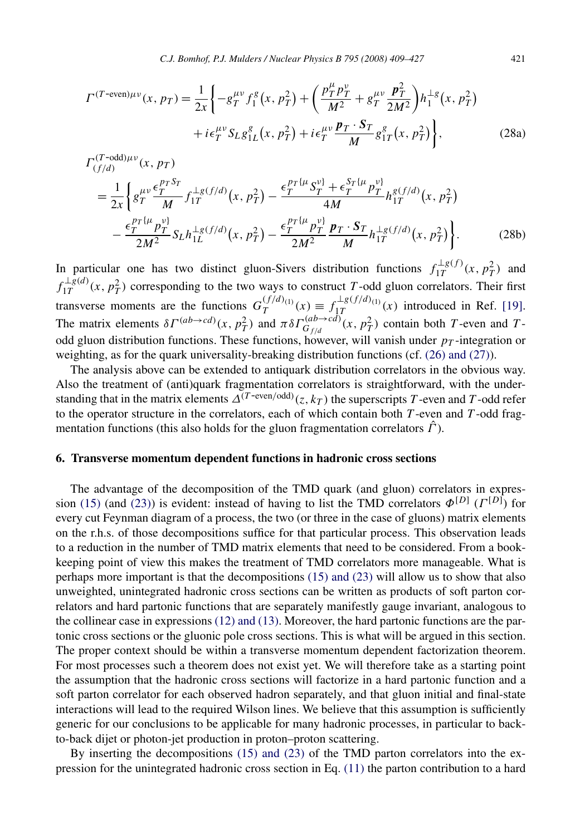<span id="page-13-0"></span>
$$
\Gamma^{(T-\text{even})\mu\nu}(x, p_T) = \frac{1}{2x} \left\{ -g_T^{\mu\nu} f_1^g(x, p_T^2) + \left( \frac{p_T^{\mu} p_T^{\nu}}{M^2} + g_T^{\mu\nu} \frac{p_T^2}{2M^2} \right) h_1^{\perp g}(x, p_T^2) + i \epsilon_T^{\mu\nu} S_L g_{1L}^g(x, p_T^2) + i \epsilon_T^{\mu\nu} \frac{p_T \cdot S_T}{M} g_{1T}^g(x, p_T^2) \right\},
$$
\n(28a)

$$
\Gamma_{(f/d)}^{(T-\text{odd})\mu\nu}(x, p_T) = \frac{1}{2x} \left\{ g_T^{\mu\nu} \frac{\epsilon_T^{pTS_T}}{M} f_{1T}^{\perp g(f/d)}(x, p_T^2) - \frac{\epsilon_T^{pT\{\mu} S_T^{\nu\}} + \epsilon_T^{S_T\{\mu} p_T^{\nu\}}}{4M} h_{1T}^{g(f/d)}(x, p_T^2) - \frac{\epsilon_T^{pT\{\mu} p_T^{\nu\}}}{2M^2} S_L h_{1L}^{\perp g(f/d)}(x, p_T^2) - \frac{\epsilon_T^{pT\{\mu} p_T^{\nu\}}}{2M^2} \frac{p_T \cdot S_T}{M} h_{1T}^{\perp g(f/d)}(x, p_T^2) \right\}.
$$
\n(28b)

In particular one has two distinct gluon-Sivers distribution functions  $f_{1T}^{\perp g(f)}(x, p_T^2)$  and  $f_{1T}^{\perp g(d)}(x, p_T^2)$  corresponding to the two ways to construct *T*-odd gluon correlators. Their first transverse moments are the functions  $G_T^{(f/d)}(x) \equiv f_{1T}^{\perp g(f/d)}(x)$  introduced in Ref. [\[19\].](#page-19-0) The matrix elements  $δΓ$ <sup>(ab→cd)</sup>(x,  $p_T^2$ ) and  $πδΓ$ <sub> $G_f/d$ </sub><sup>(ab→cd)</sup>(x,  $p_T^2$ ) contain both *T*-even and *T*odd gluon distribution functions. These functions, however, will vanish under  $p<sub>T</sub>$ -integration or weighting, as for the quark universality-breaking distribution functions (cf. [\(26\) and \(27\)\)](#page-12-0).

The analysis above can be extended to antiquark distribution correlators in the obvious way. Also the treatment of (anti)quark fragmentation correlators is straightforward, with the understanding that in the matrix elements  $\Delta^{(T\text{-even}/\text{odd})}(z,k_T)$  the superscripts *T*-even and *T*-odd refer to the operator structure in the correlators, each of which contain both *T* -even and *T* -odd fragmentation functions (this also holds for the gluon fragmentation correlators *Γ*ˆ).

#### **6. Transverse momentum dependent functions in hadronic cross sections**

The advantage of the decomposition of the TMD quark (and gluon) correlators in expres-sion [\(15\)](#page-8-0) (and [\(23\)\)](#page-11-0) is evident: instead of having to list the TMD correlators  $\Phi^{[D]}$  (*Γ*<sup>[*D*]</sup>) for every cut Feynman diagram of a process, the two (or three in the case of gluons) matrix elements on the r.h.s. of those decompositions suffice for that particular process. This observation leads to a reduction in the number of TMD matrix elements that need to be considered. From a bookkeeping point of view this makes the treatment of TMD correlators more manageable. What is perhaps more important is that the decompositions [\(15\) and \(23\)](#page-8-0) will allow us to show that also unweighted, unintegrated hadronic cross sections can be written as products of soft parton correlators and hard partonic functions that are separately manifestly gauge invariant, analogous to the collinear case in expressions [\(12\) and \(13\).](#page-8-0) Moreover, the hard partonic functions are the partonic cross sections or the gluonic pole cross sections. This is what will be argued in this section. The proper context should be within a transverse momentum dependent factorization theorem. For most processes such a theorem does not exist yet. We will therefore take as a starting point the assumption that the hadronic cross sections will factorize in a hard partonic function and a soft parton correlator for each observed hadron separately, and that gluon initial and final-state interactions will lead to the required Wilson lines. We believe that this assumption is sufficiently generic for our conclusions to be applicable for many hadronic processes, in particular to backto-back dijet or photon-jet production in proton–proton scattering.

By inserting the decompositions [\(15\) and \(23\)](#page-8-0) of the TMD parton correlators into the expression for the unintegrated hadronic cross section in Eq. [\(11\)](#page-7-0) the parton contribution to a hard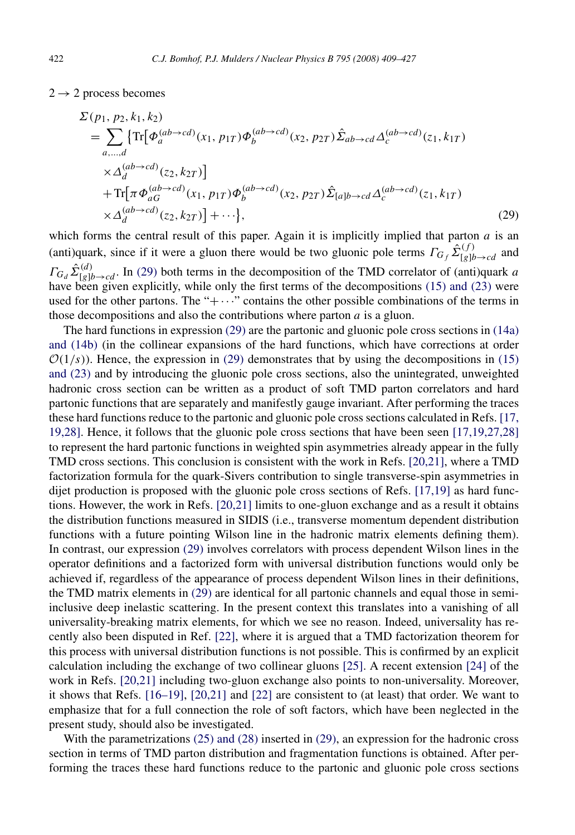<span id="page-14-0"></span> $2 \rightarrow 2$  process becomes

$$
\Sigma(p_1, p_2, k_1, k_2)
$$
\n
$$
= \sum_{a,\dots,d} \{ \text{Tr}[\Phi_a^{(ab \to cd)}(x_1, p_{1T}) \Phi_b^{(ab \to cd)}(x_2, p_{2T}) \hat{\Sigma}_{ab \to cd} \Delta_c^{(ab \to cd)}(z_1, k_{1T})
$$
\n
$$
\times \Delta_d^{(ab \to cd)}(z_2, k_{2T}) \}
$$
\n
$$
+ \text{Tr}[\pi \Phi_{ac}^{(ab \to cd)}(x_1, p_{1T}) \Phi_b^{(ab \to cd)}(x_2, p_{2T}) \hat{\Sigma}_{[a]b \to cd} \Delta_c^{(ab \to cd)}(z_1, k_{1T})
$$
\n
$$
\times \Delta_d^{(ab \to cd)}(z_2, k_{2T}) \} + \cdots \}, \tag{29}
$$

which forms the central result of this paper. Again it is implicitly implied that parton  $a$  is an (anti)quark, since if it were a gluon there would be two gluonic pole terms  $\Gamma_{G_f} \hat{\Sigma}_{[g]b \to cd}^{(f)}$  and  $\Gamma_{G_d} \hat{\Sigma}_{[g]b \to cd}^{(d)}$ . In (29) both terms in the decomposition of the TMD correlator of (anti)quark *a* have been given explicitly, while only the first terms of the decompositions [\(15\) and \(23\)](#page-8-0) were used for the other partons. The " $+\cdots$ " contains the other possible combinations of the terms in those decompositions and also the contributions where parton *a* is a gluon.

The hard functions in expression (29) are the partonic and gluonic pole cross sections in [\(14a\)](#page-8-0) [and \(14b\)](#page-8-0) (in the collinear expansions of the hard functions, which have corrections at order  $O(1/s)$ ). Hence, the expression in (29) demonstrates that by using the decompositions in [\(15\)](#page-8-0) [and \(23\)](#page-8-0) and by introducing the gluonic pole cross sections, also the unintegrated, unweighted hadronic cross section can be written as a product of soft TMD parton correlators and hard partonic functions that are separately and manifestly gauge invariant. After performing the traces these hard functions reduce to the partonic and gluonic pole cross sections calculated in Refs. [\[17,](#page-19-0) [19,28\].](#page-19-0) Hence, it follows that the gluonic pole cross sections that have been seen [\[17,19,27,28\]](#page-19-0) to represent the hard partonic functions in weighted spin asymmetries already appear in the fully TMD cross sections. This conclusion is consistent with the work in Refs. [\[20,21\],](#page-19-0) where a TMD factorization formula for the quark-Sivers contribution to single transverse-spin asymmetries in dijet production is proposed with the gluonic pole cross sections of Refs. [\[17,19\]](#page-19-0) as hard functions. However, the work in Refs. [\[20,21\]](#page-19-0) limits to one-gluon exchange and as a result it obtains the distribution functions measured in SIDIS (i.e., transverse momentum dependent distribution functions with a future pointing Wilson line in the hadronic matrix elements defining them). In contrast, our expression (29) involves correlators with process dependent Wilson lines in the operator definitions and a factorized form with universal distribution functions would only be achieved if, regardless of the appearance of process dependent Wilson lines in their definitions, the TMD matrix elements in (29) are identical for all partonic channels and equal those in semiinclusive deep inelastic scattering. In the present context this translates into a vanishing of all universality-breaking matrix elements, for which we see no reason. Indeed, universality has recently also been disputed in Ref. [\[22\],](#page-19-0) where it is argued that a TMD factorization theorem for this process with universal distribution functions is not possible. This is confirmed by an explicit calculation including the exchange of two collinear gluons [\[25\].](#page-19-0) A recent extension [\[24\]](#page-19-0) of the work in Refs. [\[20,21\]](#page-19-0) including two-gluon exchange also points to non-universality. Moreover, it shows that Refs. [\[16–19\],](#page-19-0) [\[20,21\]](#page-19-0) and [\[22\]](#page-19-0) are consistent to (at least) that order. We want to emphasize that for a full connection the role of soft factors, which have been neglected in the present study, should also be investigated.

With the parametrizations [\(25\) and \(28\)](#page-11-0) inserted in (29), an expression for the hadronic cross section in terms of TMD parton distribution and fragmentation functions is obtained. After performing the traces these hard functions reduce to the partonic and gluonic pole cross sections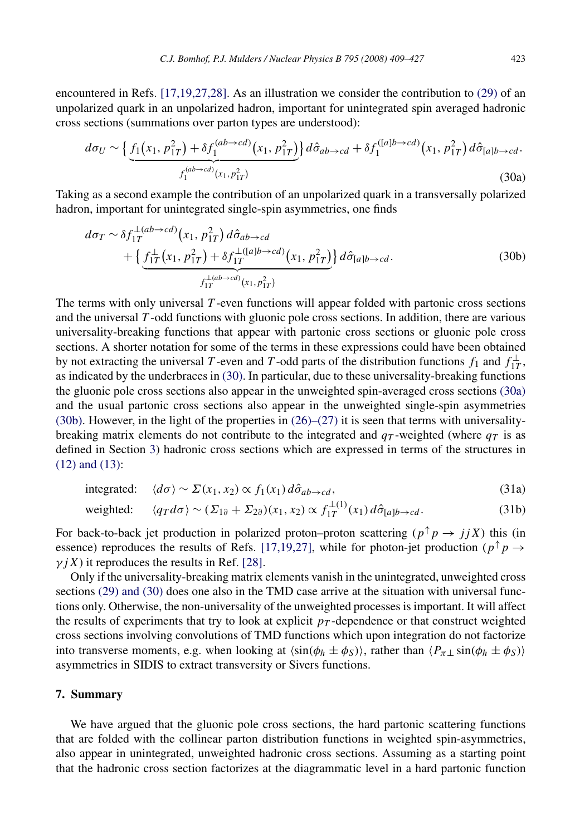<span id="page-15-0"></span>encountered in Refs. [\[17,19,27,28\].](#page-19-0) As an illustration we consider the contribution to [\(29\)](#page-14-0) of an unpolarized quark in an unpolarized hadron, important for unintegrated spin averaged hadronic cross sections (summations over parton types are understood):

$$
d\sigma_U \sim \left\{ \underbrace{f_1(x_1, p_{1T}^2) + \delta f_1^{(ab \to cd)}(x_1, p_{1T}^2)}_{f_1^{(ab \to cd)}(x_1, p_{1T}^2)} \right\} d\hat{\sigma}_{ab \to cd} + \delta f_1^{([a]b \to cd)}(x_1, p_{1T}^2) d\hat{\sigma}_{[a]b \to cd}.
$$
\n(30a)

Taking as a second example the contribution of an unpolarized quark in a transversally polarized hadron, important for unintegrated single-spin asymmetries, one finds

$$
d\sigma_T \sim \delta f_{1T}^{\perp(ab \to cd)}(x_1, p_{1T}^2) d\hat{\sigma}_{ab \to cd} + \left\{ \underbrace{f_{1T}^{\perp}(x_1, p_{1T}^2) + \delta f_{1T}^{\perp([a]b \to cd)}(x_1, p_{1T}^2)}_{f_{1T}^{\perp(ab \to cd)}(x_1, p_{1T}^2)} \right\} d\hat{\sigma}_{[a]b \to cd}.
$$
 (30b)

The terms with only universal *T* -even functions will appear folded with partonic cross sections and the universal *T* -odd functions with gluonic pole cross sections. In addition, there are various universality-breaking functions that appear with partonic cross sections or gluonic pole cross sections. A shorter notation for some of the terms in these expressions could have been obtained by not extracting the universal *T* -even and *T* -odd parts of the distribution functions  $f_1$  and  $f_{1T}^{\perp}$ , as indicated by the underbraces in (30). In particular, due to these universality-breaking functions the gluonic pole cross sections also appear in the unweighted spin-averaged cross sections (30a) and the usual partonic cross sections also appear in the unweighted single-spin asymmetries (30b). However, in the light of the properties in  $(26)$ – $(27)$  it is seen that terms with universalitybreaking matrix elements do not contribute to the integrated and  $q_T$ -weighted (where  $q_T$  is as defined in Section [3\)](#page-6-0) hadronic cross sections which are expressed in terms of the structures in [\(12\) and \(13\):](#page-8-0)

integrated: 
$$
\langle d\sigma \rangle \sim \Sigma(x_1, x_2) \propto f_1(x_1) d\hat{\sigma}_{ab \to cd},
$$
 (31a)

$$
\text{weighted:} \qquad \langle q_T d\sigma \rangle \sim (\Sigma_{1\partial} + \Sigma_{2\partial})(x_1, x_2) \propto f_{1T}^{\perp(1)}(x_1) \, d\hat{\sigma}_{[a]b \to cd}.\tag{31b}
$$

For back-to-back jet production in polarized proton–proton scattering  $(p^{\uparrow} p \rightarrow j j X)$  this (in essence) reproduces the results of Refs. [\[17,19,27\],](#page-19-0) while for photon-jet production ( $p^{\uparrow}p \rightarrow$  $\gamma$ *jX*) it reproduces the results in Ref. [\[28\].](#page-19-0)

Only if the universality-breaking matrix elements vanish in the unintegrated, unweighted cross sections [\(29\) and \(30\)](#page-14-0) does one also in the TMD case arrive at the situation with universal functions only. Otherwise, the non-universality of the unweighted processes is important. It will affect the results of experiments that try to look at explicit  $p<sub>T</sub>$ -dependence or that construct weighted cross sections involving convolutions of TMD functions which upon integration do not factorize into transverse moments, e.g. when looking at  $\langle \sin(\phi_h \pm \phi_s) \rangle$ , rather than  $\langle P_{\pi\perp} \sin(\phi_h \pm \phi_s) \rangle$ asymmetries in SIDIS to extract transversity or Sivers functions.

#### **7. Summary**

We have argued that the gluonic pole cross sections, the hard partonic scattering functions that are folded with the collinear parton distribution functions in weighted spin-asymmetries, also appear in unintegrated, unweighted hadronic cross sections. Assuming as a starting point that the hadronic cross section factorizes at the diagrammatic level in a hard partonic function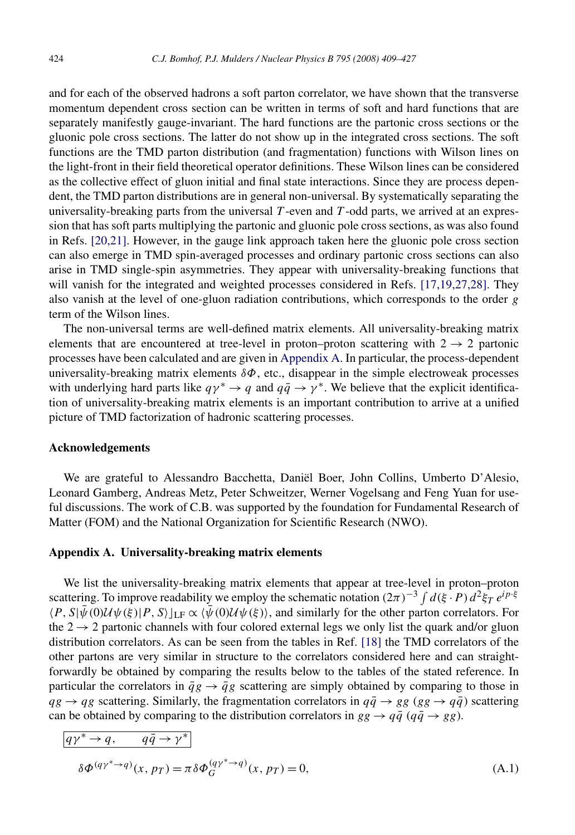<span id="page-16-0"></span>and for each of the observed hadrons a soft parton correlator, we have shown that the transverse momentum dependent cross section can be written in terms of soft and hard functions that are separately manifestly gauge-invariant. The hard functions are the partonic cross sections or the gluonic pole cross sections. The latter do not show up in the integrated cross sections. The soft functions are the TMD parton distribution (and fragmentation) functions with Wilson lines on the light-front in their field theoretical operator definitions. These Wilson lines can be considered as the collective effect of gluon initial and final state interactions. Since they are process dependent, the TMD parton distributions are in general non-universal. By systematically separating the universality-breaking parts from the universal *T*-even and *T*-odd parts, we arrived at an expression that has soft parts multiplying the partonic and gluonic pole cross sections, as was also found in Refs. [\[20,21\].](#page-19-0) However, in the gauge link approach taken here the gluonic pole cross section can also emerge in TMD spin-averaged processes and ordinary partonic cross sections can also arise in TMD single-spin asymmetries. They appear with universality-breaking functions that will vanish for the integrated and weighted processes considered in Refs. [\[17,19,27,28\].](#page-19-0) They also vanish at the level of one-gluon radiation contributions, which corresponds to the order *g* term of the Wilson lines.

The non-universal terms are well-defined matrix elements. All universality-breaking matrix elements that are encountered at tree-level in proton–proton scattering with  $2 \rightarrow 2$  partonic processes have been calculated and are given in Appendix A. In particular, the process-dependent universality-breaking matrix elements *δΦ*, etc., disappear in the simple electroweak processes with underlying hard parts like  $q\gamma^* \rightarrow q$  and  $q\bar{q} \rightarrow \gamma^*$ . We believe that the explicit identification of universality-breaking matrix elements is an important contribution to arrive at a unified picture of TMD factorization of hadronic scattering processes.

#### **Acknowledgements**

We are grateful to Alessandro Bacchetta, Daniël Boer, John Collins, Umberto D'Alesio, Leonard Gamberg, Andreas Metz, Peter Schweitzer, Werner Vogelsang and Feng Yuan for useful discussions. The work of C.B. was supported by the foundation for Fundamental Research of Matter (FOM) and the National Organization for Scientific Research (NWO).

#### **Appendix A. Universality-breaking matrix elements**

We list the universality-breaking matrix elements that appear at tree-level in proton–proton scattering. To improve readability we employ the schematic notation  $(2\pi)^{-3} \int d(\xi \cdot P) d^2 \xi_T e^{ip \cdot \xi}$  $\langle P, S|\bar{\psi}(0)\mathcal{U}\psi(\bar{\xi})|P, S\rangle|_{LF} \propto \langle \bar{\psi}(0)\mathcal{U}\psi(\bar{\xi})\rangle$ , and similarly for the other parton correlators. For the  $2 \rightarrow 2$  partonic channels with four colored external legs we only list the quark and/or gluon distribution correlators. As can be seen from the tables in Ref. [\[18\]](#page-19-0) the TMD correlators of the other partons are very similar in structure to the correlators considered here and can straightforwardly be obtained by comparing the results below to the tables of the stated reference. In particular the correlators in  $\bar{q}g \to \bar{q}g$  scattering are simply obtained by comparing to those in  $qg \rightarrow qg$  scattering. Similarly, the fragmentation correlators in  $q\bar{q} \rightarrow gg$  ( $gg \rightarrow q\bar{q}$ ) scattering can be obtained by comparing to the distribution correlators in  $gg \rightarrow q\bar{q}$  ( $q\bar{q} \rightarrow gg$ ).

$$
\begin{aligned} \frac{q\gamma^* \to q, \qquad q\bar{q} \to \gamma^*}{\delta \Phi^{(q\gamma^* \to q)}(x, p_T) = \pi \delta \Phi_G^{(q\gamma^* \to q)}(x, p_T) = 0, \end{aligned} \tag{A.1}
$$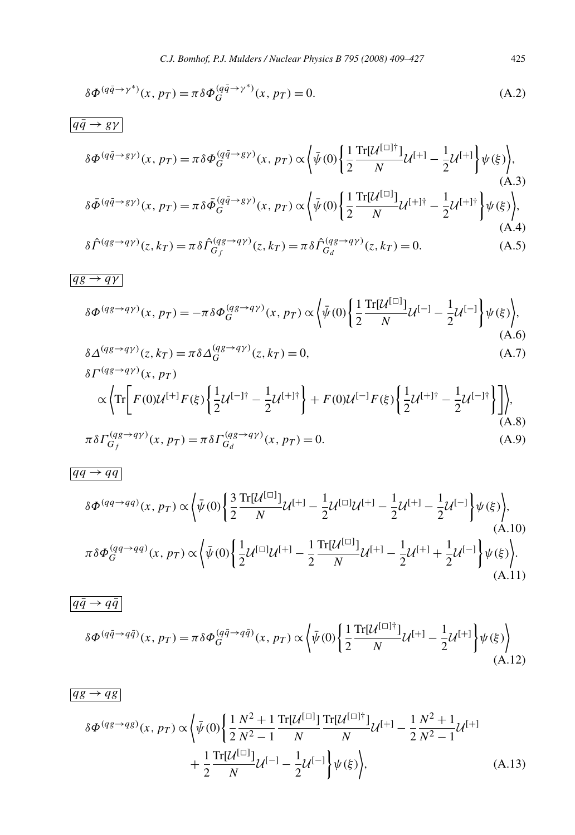$$
\delta \Phi^{(q\bar{q}\to\gamma^*)}(x, p_T) = \pi \delta \Phi_G^{(q\bar{q}\to\gamma^*)}(x, p_T) = 0.
$$
\n(A.2)

## $q\bar{q} \rightarrow g\gamma$

$$
\delta \Phi^{(q\bar{q}\rightarrow g\gamma)}(x, p_T) = \pi \delta \Phi_G^{(q\bar{q}\rightarrow g\gamma)}(x, p_T) \propto \left\langle \bar{\psi}(0) \left\{ \frac{1}{2} \frac{\text{Tr}[\mathcal{U}^{[\Box]\dagger}]}{N} \mathcal{U}^{[+]} - \frac{1}{2} \mathcal{U}^{[+]} \right\} \psi(\xi) \right\rangle, \delta \bar{\Phi}^{(q\bar{q}\rightarrow g\gamma)}(x, p_T) = \pi \delta \bar{\Phi}_G^{(q\bar{q}\rightarrow g\gamma)}(x, p_T) \propto \left\langle \bar{\psi}(0) \left\{ \frac{1}{2} \frac{\text{Tr}[\mathcal{U}^{[\Box]}]}{N} \mathcal{U}^{[+] \dagger} - \frac{1}{2} \mathcal{U}^{[+]\dagger} \right\} \psi(\xi) \right\rangle,
$$

$$
\delta \hat{\Gamma}^{(qg \to q\gamma)}(z, k_T) = \pi \delta \hat{\Gamma}^{(qg \to q\gamma)}_{G_f}(z, k_T) = \pi \delta \hat{\Gamma}^{(qg \to q\gamma)}_{G_d}(z, k_T) = 0.
$$
\n(A.5)

#### $qg \rightarrow q\gamma$

$$
\delta \Phi^{(qg \to q\gamma)}(x, p_T) = -\pi \delta \Phi_G^{(qg \to q\gamma)}(x, p_T) \propto \left\langle \bar{\psi}(0) \left\{ \frac{1}{2} \frac{\text{Tr}[\mathcal{U}^{[\Box]}}{N} \mathcal{U}^{[-]} - \frac{1}{2} \mathcal{U}^{[-]} \right\} \psi(\xi) \right\rangle, \tag{A.6}
$$
  

$$
\delta \Delta^{(qg \to q\gamma)}(z, k_T) = \pi \delta \Delta_G^{(qg \to q\gamma)}(z, k_T) = 0, \tag{A.7}
$$

$$
\delta \Gamma^{(qg \to q\gamma)}(x, p_T)
$$
  
\n
$$
\propto \left\langle \text{Tr} \left[ F(0) \mathcal{U}^{[+]} F(\xi) \left\{ \frac{1}{2} \mathcal{U}^{[-]\dagger} - \frac{1}{2} \mathcal{U}^{[+]\dagger} \right\} + F(0) \mathcal{U}^{[-]} F(\xi) \left\{ \frac{1}{2} \mathcal{U}^{[+]\dagger} - \frac{1}{2} \mathcal{U}^{[-]\dagger} \right\} \right] \right\rangle,
$$
  
\n
$$
\pi \delta \Gamma^{(qg \to q\gamma)}_{G_f}(x, p_T) = \pi \delta \Gamma^{(qg \to q\gamma)}_{G_d}(x, p_T) = 0.
$$
  
\n(A.9)

$$
\overline{qq \to qq}
$$
\n
$$
\delta \Phi^{(qq \to qq)}(x, p_T) \propto \left\langle \bar{\psi}(0) \left\{ \frac{3}{2} \frac{\text{Tr}[\mathcal{U}^{[\Box]}]}{N} \mathcal{U}^{[+]} - \frac{1}{2} \mathcal{U}^{[\Box]} \mathcal{U}^{[+]} - \frac{1}{2} \mathcal{U}^{[-]} \right\} \psi(\xi) \right\rangle, \tag{A.10}
$$
\n
$$
\pi \delta \Phi_G^{(qq \to qq)}(x, p_T) \propto \left\langle \bar{\psi}(0) \left\{ \frac{1}{2} \mathcal{U}^{[\Box]} \mathcal{U}^{[+]} - \frac{1}{2} \frac{\text{Tr}[\mathcal{U}^{[\Box]}]}{N} \mathcal{U}^{[+]} - \frac{1}{2} \mathcal{U}^{[+]} + \frac{1}{2} \mathcal{U}^{[-]} \right\} \psi(\xi) \right\rangle. \tag{A.11}
$$

$$
\overline{q\bar{q} \to q\bar{q}}\n\delta \Phi^{(q\bar{q} \to q\bar{q})}(x, p) = \pi \delta \Phi_G^{(q\bar{q} \to q\bar{q})}(x, p) \propto \left\langle \bar{\psi}(0) \left\{ \frac{1}{2} \frac{\text{Tr}[\mathcal{U}^{[\Box]\dagger}]}{N} \mathcal{U}^{[+]} - \frac{1}{2} \mathcal{U}^{[+]} \right\} \psi(\xi) \right\rangle
$$
\n(A.12)

$$
\frac{qg \to qg}{\delta \Phi^{(qg \to qg)}(x, pr) \propto \left\langle \bar{\psi}(0) \left\{ \frac{1}{2} \frac{N^2 + 1}{N^2 - 1} \frac{\text{Tr}[\mathcal{U}^{[\Box]}}{N} \frac{\text{Tr}[\mathcal{U}^{[\Box]\dagger}]}{N} \mathcal{U}^{[+]} - \frac{1}{2} \frac{N^2 + 1}{N^2 - 1} \mathcal{U}^{[+]}\right. \right.} + \frac{1}{2} \frac{\text{Tr}[\mathcal{U}^{[\Box]}}{N} \mathcal{U}^{[-]} - \frac{1}{2} \mathcal{U}^{[-]} \left\{ \psi(\xi) \right\rangle,}
$$
\n(A.13)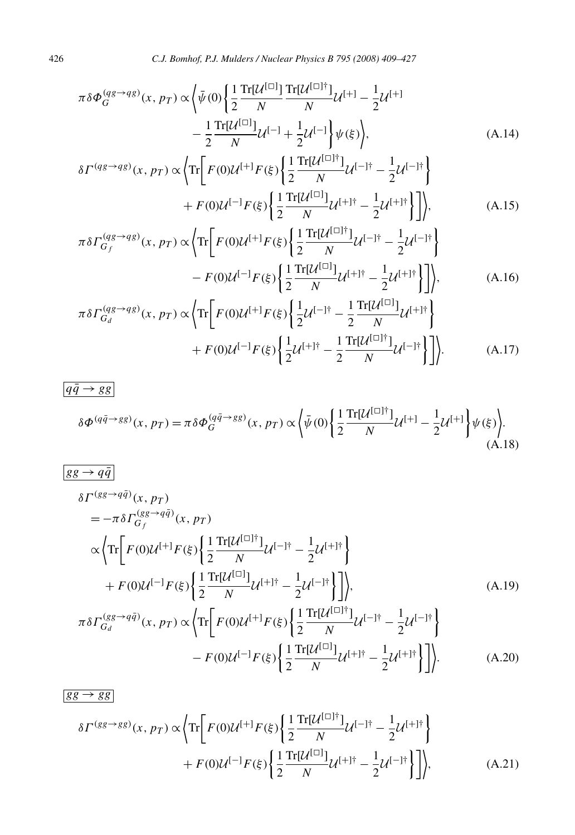$$
\pi \delta \Phi_G^{(qg \to qg)}(x, p_T) \propto \left\langle \bar{\psi}(0) \left\{ \frac{1}{2} \frac{\text{Tr}[\mathcal{U}^{[\Box]}}{N} \frac{\text{Tr}[\mathcal{U}^{[\Box]\dagger}]}{N} \mathcal{U}^{[+]} - \frac{1}{2} \mathcal{U}^{[+]} \right\} \right. \\ \left. - \frac{1}{2} \frac{\text{Tr}[\mathcal{U}^{[\Box]}}{N} \mathcal{U}^{[-]} + \frac{1}{2} \mathcal{U}^{[-]} \right\} \psi(\xi) \right\rangle, \tag{A.14}
$$

$$
\delta \Gamma^{(qg \to qg)}(x, p_T) \propto \left\langle \text{Tr} \left[ F(0) \mathcal{U}^{[+]} F(\xi) \left\{ \frac{1}{2} \frac{\text{Tr}[\mathcal{U}^{[\Box]\dagger}]}{N} \mathcal{U}^{[-]\dagger} - \frac{1}{2} \mathcal{U}^{[-]\dagger} \right\} \right. \\ \left. + F(0) \mathcal{U}^{[-]} F(\xi) \left\{ \frac{1}{2} \frac{\text{Tr}[\mathcal{U}^{[\Box]}]}{N} \mathcal{U}^{[+] \dagger} - \frac{1}{2} \mathcal{U}^{[+] \dagger} \right\} \right] \right\rangle, \tag{A.15}
$$

$$
\pi \delta \Gamma_{G_f}^{(qg \to qg)}(x, p_T) \propto \left\langle \text{Tr} \left[ F(0) \mathcal{U}^{[+]} F(\xi) \left\{ \frac{1}{2} \frac{\text{Tr}[\mathcal{U}^{[\Box]\dagger}]}{N} \mathcal{U}^{[-]\dagger} - \frac{1}{2} \mathcal{U}^{[-]\dagger} \right\} \right. \right. \\
\left. - F(0) \mathcal{U}^{[-]} F(\xi) \left\{ \frac{1}{2} \frac{\text{Tr}[\mathcal{U}^{[\Box]}]}{N} \mathcal{U}^{[+]\dagger} - \frac{1}{2} \mathcal{U}^{[+]\dagger} \right\} \right] \right\rangle, \tag{A.16}
$$

$$
\pi \delta \Gamma_{G_d}^{(qg \to qg)}(x, p_T) \propto \left\{ \text{Tr} \bigg[ F(0) \mathcal{U}^{[+]} F(\xi) \bigg\{ \frac{1}{2} \mathcal{U}^{[-] \dagger} - \frac{1}{2} \frac{\text{Tr}[\mathcal{U}^{[\Box]}}{N} \mathcal{U}^{[+] \dagger} \bigg\} \right. \\ \left. + F(0) \mathcal{U}^{[-]} F(\xi) \bigg\{ \frac{1}{2} \mathcal{U}^{[+] \dagger} - \frac{1}{2} \frac{\text{Tr}[\mathcal{U}^{[\Box] \dagger}}{N} \mathcal{U}^{[-] \dagger} \bigg\} \bigg] \right\} . \tag{A.17}
$$

$$
\overline{q\bar{q} \to gg}
$$
\n
$$
\delta \Phi^{(q\bar{q} \to gg)}(x, p_T) = \pi \delta \Phi_G^{(q\bar{q} \to gg)}(x, p_T) \propto \left\langle \bar{\psi}(0) \left\{ \frac{1}{2} \frac{\text{Tr}[\mathcal{U}^{[\Box]\dagger}]}{N} \mathcal{U}^{[+]} - \frac{1}{2} \mathcal{U}^{[+]} \right\} \psi(\xi) \right\rangle.
$$
\n(A.18)

$$
\frac{g g \to q \bar{q}}{\delta \Gamma^{(gg \to q \bar{q})}(x, p_T)} \n= -\pi \delta \Gamma_{G_f}^{(gg \to q \bar{q})}(x, p_T) \n\alpha \left\{ \text{Tr} \left[ F(0) \mathcal{U}^{[+]} F(\xi) \left\{ \frac{1}{2} \frac{\text{Tr}[\mathcal{U}^{[\Box]\dagger}]}{N} \mathcal{U}^{[-]\dagger} - \frac{1}{2} \mathcal{U}^{[+]\dagger} \right\} \right. \n+ F(0) \mathcal{U}^{[-]} F(\xi) \left\{ \frac{1}{2} \frac{\text{Tr}[\mathcal{U}^{[\Box]}]}{N} \mathcal{U}^{[+]\dagger} - \frac{1}{2} \mathcal{U}^{[-]\dagger} \right\} \right], \qquad (A.19)
$$
\n
$$
\pi \delta \Gamma_{G_d}^{(gg \to q \bar{q})}(x, p_T) \propto \left\{ \text{Tr} \left[ F(0) \mathcal{U}^{[+]} F(\xi) \left\{ \frac{1}{2} \frac{\text{Tr}[\mathcal{U}^{[\Box]\dagger}]}{N} \mathcal{U}^{[-]\dagger} - \frac{1}{2} \mathcal{U}^{[-]\dagger} \right\} \right. \n- F(0) \mathcal{U}^{[-]} F(\xi) \left\{ \frac{1}{2} \frac{\text{Tr}[\mathcal{U}^{[\Box]}]}{N} \mathcal{U}^{[+]\dagger} - \frac{1}{2} \mathcal{U}^{[+]\dagger} \right\} \right\}.
$$
\n(A.20)

$$
\frac{g\mathbf{g} \to g\mathbf{g}}{\delta \Gamma^{(g\mathbf{g} \to g\mathbf{g})}(x, p_T) \propto \left\langle \text{Tr} \left[ F(0) \mathcal{U}^{[+]} F(\xi) \left\{ \frac{1}{2} \frac{\text{Tr}[\mathcal{U}^{[\Box]\dagger}]}{N} \mathcal{U}^{[-]\dagger} - \frac{1}{2} \mathcal{U}^{[+] \dagger} \right\} \right] + F(0) \mathcal{U}^{[-]F}(\xi) \left\{ \frac{1}{2} \frac{\text{Tr}[\mathcal{U}^{[\Box]}]}{N} \mathcal{U}^{[+] \dagger} - \frac{1}{2} \mathcal{U}^{[-]\dagger} \right\} \right],
$$
 (A.21)